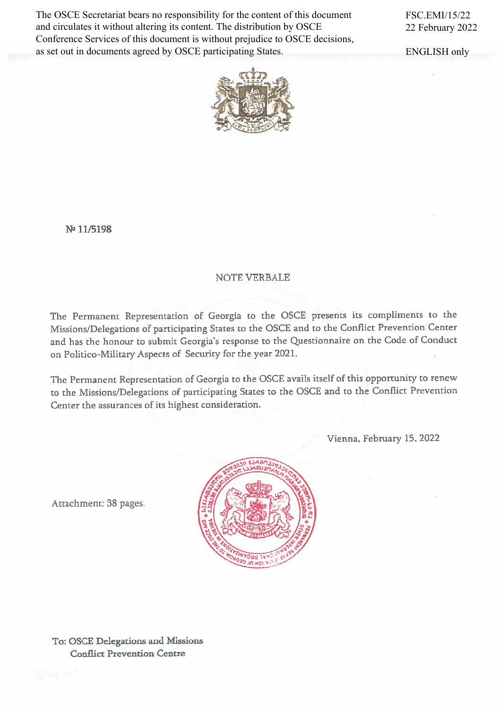The OSCE Secretariat bears no responsibility for the content of this document and circulates it without altering its content. The distribution by OSCE Conference Services of this document is without prejudice to OSCE decisions, as set out in documents agreed by OSCE participating States.

FSC.EMI/15/22 22 February 2022

ENGLISH only



N<sup>o</sup> 11/5198

#### **NOTE VERBALE**

The Permanent Representation of Georgia to the OSCE presents its compliments to the Missions/Delegations of participating States to the OSCE and to the Conflict Prevention Center and has the honour to submit Georgia's response to the Questionnaire on the Code of Conduct on Politico-Military Aspects of Security for the year 2021.

The Permanent Representation of Georgia to the OSCE avails itself of this opportunity to renew to the Missions/Delegations of participating States to the OSCE and to the Conflict Prevention Center the assurances of its highest consideration.

Vienna, February 15, 2022



Attachment: 38 pages.

To: OSCE Delegations and Missions **Conflict Prevention Centre**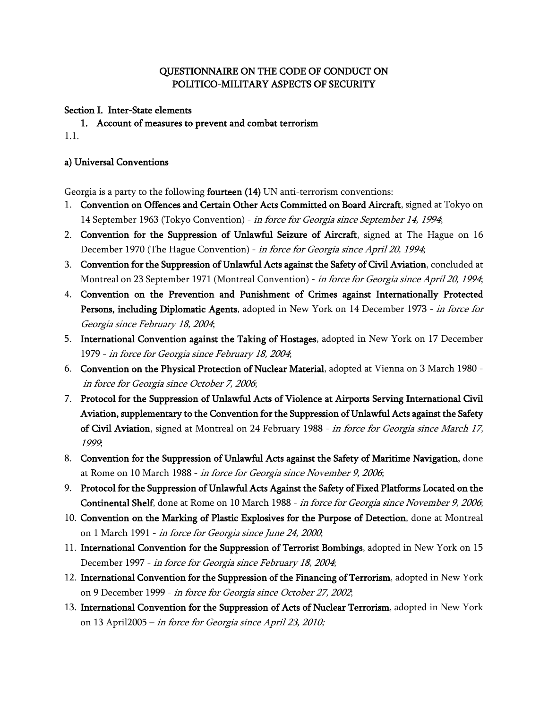### **QUESTIONNAIRE ON THE CODE OF CONDUCT ON POLITICO-MILITARY ASPECTS OF SECURITY**

**Section I. Inter-State elements**

**1. Account of measures to prevent and combat terrorism** 1.1.

#### **a) Universal Conventions**

Georgia is a party to the following **fourteen (14)** UN anti-terrorism conventions:

- 1. **[Convention on Offences and Certain Other Acts Committed on Board Aircraft](http://10.31.0.99/uploads/saertashoriso_urtiertobebis_sammartvelo/files/1.pdf)**, signed at Tokyo on 14 September 1963 (Tokyo Convention) - *[in force for Georgia since September 14, 1994](http://10.31.0.99/uploads/saertashoriso_urtiertobebis_sammartvelo/files/1.pdf)*;
- 2. **[Convention for the Suppression of Unlawful Seizure of Aircraft](http://10.31.0.99/uploads/saertashoriso_urtiertobebis_sammartvelo/files/2.pdf)**, signed at The Hague on 16 [December 1970 \(The Hague Convention\) -](http://10.31.0.99/uploads/saertashoriso_urtiertobebis_sammartvelo/files/2.pdf) *in force for Georgia since April 20, 1994*;
- 3. **[Convention for the Suppression of Unlawful Acts against the Safety of Civil Aviation](http://10.31.0.99/uploads/saertashoriso_urtiertobebis_sammartvelo/files/3.pdf)**, concluded at [Montreal on 23 September 1971 \(Montreal Convention\) -](http://10.31.0.99/uploads/saertashoriso_urtiertobebis_sammartvelo/files/3.pdf) *in force for Georgia since April 20, 1994*;
- 4. **[Convention on the Prevention and Punishment of Crimes against Internationally Protected](http://10.31.0.99/uploads/saertashoriso_urtiertobebis_sammartvelo/files/4.pdf)  Persons, including Diplomatic Agents**[, adopted in New York on 14 December 1973 -](http://10.31.0.99/uploads/saertashoriso_urtiertobebis_sammartvelo/files/4.pdf) *in force for [Georgia since February 18, 2004](http://10.31.0.99/uploads/saertashoriso_urtiertobebis_sammartvelo/files/4.pdf)*;
- 5. **[International Convention against the Taking of Hostages](http://10.31.0.99/uploads/saertashoriso_urtiertobebis_sammartvelo/files/5.pdf)**, adopted in New York on 17 December 1979 - *[in force for Georgia since February 18, 2004](http://10.31.0.99/uploads/saertashoriso_urtiertobebis_sammartvelo/files/5.pdf)*;
- 6. **[Convention on the Physical Protection of Nuclear Material](http://10.31.0.99/uploads/saertashoriso_urtiertobebis_sammartvelo/files/6.pdf)**, adopted at Vienna on 3 March 1980 *[in force for Georgia since October 7, 2006](http://10.31.0.99/uploads/saertashoriso_urtiertobebis_sammartvelo/files/6.pdf)*;
- 7. **[Protocol for the Suppression of Unlawful Acts of Violence at Airports Serving International Civil](http://10.31.0.99/uploads/saertashoriso_urtiertobebis_sammartvelo/files/7.pdf)  [Aviation, supplementary to the Convention for the Suppression of Unlawful Acts against the Safety](http://10.31.0.99/uploads/saertashoriso_urtiertobebis_sammartvelo/files/7.pdf)  of Civil Aviation**[, signed at Montreal on 24 February 1988 -](http://10.31.0.99/uploads/saertashoriso_urtiertobebis_sammartvelo/files/7.pdf) *in force for Georgia since March 17, [1999](http://10.31.0.99/uploads/saertashoriso_urtiertobebis_sammartvelo/files/7.pdf)*;
- 8. **[Convention for the Suppression of Unlawful Acts against the Safety of Maritime Navigation](http://10.31.0.99/uploads/saertashoriso_urtiertobebis_sammartvelo/files/8.pdf)**, done at Rome on 10 March 1988 - *[in force for Georgia since November 9, 2006](http://10.31.0.99/uploads/saertashoriso_urtiertobebis_sammartvelo/files/8.pdf)*;
- 9. **[Protocol for the Suppression of Unlawful Acts Against the Safety of Fixed Platforms Located on the](http://10.31.0.99/uploads/saertashoriso_urtiertobebis_sammartvelo/files/9.pdf)  Continental Shelf**, done at Rome on 10 March 1988 - *[in force for Georgia since November 9, 2006](http://10.31.0.99/uploads/saertashoriso_urtiertobebis_sammartvelo/files/9.pdf)*;
- 10. **[Convention on the Marking of Plastic Explosives for the Purpose of Detection](http://10.31.0.99/uploads/saertashoriso_urtiertobebis_sammartvelo/files/10.pdf)**, done at Montreal on 1 March 1991 - *[in force for Georgia since June 24, 2000](http://10.31.0.99/uploads/saertashoriso_urtiertobebis_sammartvelo/files/10.pdf)*;
- 11. **[International Convention for the Suppression of Terrorist Bombings](http://10.31.0.99/uploads/saertashoriso_urtiertobebis_sammartvelo/files/11.pdf)**, adopted in New York on 15 December 1997 - *[in force for Georgia since February 18, 2004](http://10.31.0.99/uploads/saertashoriso_urtiertobebis_sammartvelo/files/11.pdf)*;
- 12. **[International Convention for the Suppression of the Financing of Terrorism](http://10.31.0.99/uploads/saertashoriso_urtiertobebis_sammartvelo/files/12.pdf)**,adopted in New York on 9 December 1999 - *[in force for Georgia since October 27, 2002](http://10.31.0.99/uploads/saertashoriso_urtiertobebis_sammartvelo/files/12.pdf)*;
- 13. **[International Convention for the Suppression of Acts of Nuclear Terrorism](http://10.31.0.99/uploads/saertashoriso_urtiertobebis_sammartvelo/files/13.pdf)**, adopted in New York on 13 April2005 – *in force for Georgia since April 23, 2010;*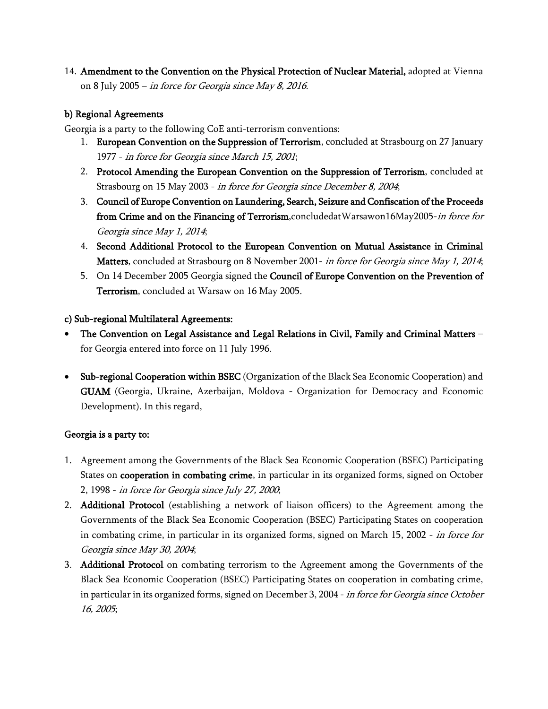14. **[Amendment to the Convention on the Physical Protection of Nuclear Material,](http://www.police.ge/files/IRD/Saertashoriso%20samartlebrivi/saertashoriso%20xelshekrulebebi/gc49inf-6.pdf)** adopted at Vienna on 8 July 2005 – *in force for Georgia since May 8, 2016*.

### **b) Regional Agreements**

Georgia is a party to the following CoE anti-terrorism conventions:

- 1. **[European Convention on the Suppression of Terrorism](http://police.ge/uploads/saertashoriso_urtiertobebis_sammartvelo/files/coe/Suppression_of_Terrorism.PDF)**, concluded at Strasbourg on 27 January 1977 - *[in force for Georgia since March 15, 2001](http://police.ge/uploads/saertashoriso_urtiertobebis_sammartvelo/files/coe/Suppression_of_Terrorism.PDF)*;
- 2. **[Protocol Amending the European Convention on the Suppression of Terrorism](http://police.ge/uploads/saertashoriso_urtiertobebis_sammartvelo/files/coe/Protocol_amending_Convention_on_the_Suppression_on_Terrorism.PDF)**, concluded at Strasbourg on 15 May 2003 - *[in force for Georgia since December 8, 2004](http://police.ge/uploads/saertashoriso_urtiertobebis_sammartvelo/files/coe/Protocol_amending_Convention_on_the_Suppression_on_Terrorism.PDF)*;
- 3. **Council of Europe Convention on Laundering, Search, Seizure and Confiscation of the Proceeds from Crime and on the Financing of Terrorism**,concludedatWarsawon16May2005-*in force for Georgia since May 1, 2014*;
- 4. **Second Additional Protocol to the European Convention on Mutual Assistance in Criminal Matters**, concluded at Strasbourg on 8 November 2001- *in force for Georgia since May 1, 2014*;
- 5. On 14 December 2005 Georgia signed the **Council of Europe Convention on the Prevention of Terrorism**, concluded at Warsaw on 16 May 2005.

#### **c) Sub-regional Multilateral Agreements:**

- **The Convention on Legal Assistance and Legal Relations in Civil, Family and Criminal Matters** for Georgia entered into force on 11 July 1996.
- **Sub-regional Cooperation within BSEC** (Organization of the Black Sea Economic Cooperation) and **GUAM** (Georgia, Ukraine, Azerbaijan, Moldova - Organization for Democracy and Economic Development). In this regard,

#### **Georgia is a party to:**

- 1. [Agreement among the Governments of the Black Sea Economic Cooperation \(BSEC\) Participating](http://10.31.0.99/uploads/saertashoriso_urtiertobebis_sammartvelo/files/bsec/CombatingCrimeAGREEMENT20071120.pdf)  States on **cooperation in combating crime**[, in particular in its organized forms, signed on October](http://10.31.0.99/uploads/saertashoriso_urtiertobebis_sammartvelo/files/bsec/CombatingCrimeAGREEMENT20071120.pdf)  2, 1998 - *[in force for Georgia since July 27, 2000](http://10.31.0.99/uploads/saertashoriso_urtiertobebis_sammartvelo/files/bsec/CombatingCrimeAGREEMENT20071120.pdf)*;
- 2. **Additional Protocol** [\(establishing a network of liaison officers\) to the Agreement among the](http://10.31.0.99/uploads/saertashoriso_urtiertobebis_sammartvelo/files/bsec/AddPrtCombatingCrimeAGREEMENT20071120.pdf)  [Governments of the Black Sea Economic Cooperation \(BSEC\) Participating States on cooperation](http://10.31.0.99/uploads/saertashoriso_urtiertobebis_sammartvelo/files/bsec/AddPrtCombatingCrimeAGREEMENT20071120.pdf)  [in combating crime, in particular in its organized forms, signed on March 15, 2002 -](http://10.31.0.99/uploads/saertashoriso_urtiertobebis_sammartvelo/files/bsec/AddPrtCombatingCrimeAGREEMENT20071120.pdf) *in force for [Georgia since May 30, 2004](http://10.31.0.99/uploads/saertashoriso_urtiertobebis_sammartvelo/files/bsec/AddPrtCombatingCrimeAGREEMENT20071120.pdf)*;
- 3. **Additional Protocol** on combating terrorism to the Agreement among the Governments of the Black Sea Economic Cooperation (BSEC) Participating States on cooperation in combating crime, in particular in its organized forms, signed on December 3, 2004 - *in force for Georgia since October 16, 2005*;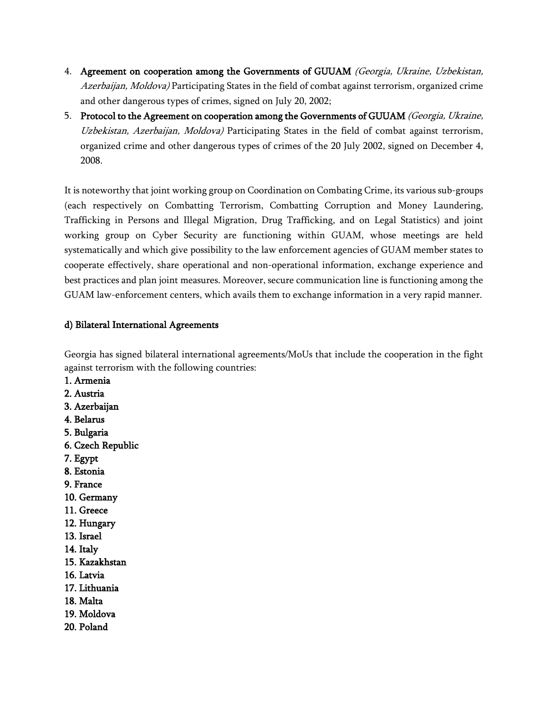- 4. **[Agreement on cooperation among the Governments of GUUAM](http://police.ge/uploads/saertashoriso_urtiertobebis_sammartvelo/files/guam/GUAM_-_Agreement__Crime_Combating_.pdf)** *(Georgia, Ukraine, Uzbekistan, Azerbaijan, Moldova)* [Participating States in the field of combat against terrorism, organized crime](http://police.ge/uploads/saertashoriso_urtiertobebis_sammartvelo/files/guam/GUAM_-_Agreement__Crime_Combating_.pdf)  [and other dangerous types of crimes, signed on July 20, 2002;](http://police.ge/uploads/saertashoriso_urtiertobebis_sammartvelo/files/guam/GUAM_-_Agreement__Crime_Combating_.pdf)
- 5. **[Protocol to the Agreement on cooperation among the Governments of GUUAM](http://police.ge/uploads/saertashoriso_urtiertobebis_sammartvelo/files/guam/GUAM_-_Protocol__Crime_Combating_.pdf)** *(Georgia, Ukraine, Uzbekistan, Azerbaijan, Moldova)* [Participating States in the field of combat against terrorism,](http://police.ge/uploads/saertashoriso_urtiertobebis_sammartvelo/files/guam/GUAM_-_Protocol__Crime_Combating_.pdf)  [organized crime and other dangerous types of crimes of the 20 July 2002, signed on December 4,](http://police.ge/uploads/saertashoriso_urtiertobebis_sammartvelo/files/guam/GUAM_-_Protocol__Crime_Combating_.pdf)  [2008.](http://police.ge/uploads/saertashoriso_urtiertobebis_sammartvelo/files/guam/GUAM_-_Protocol__Crime_Combating_.pdf)

It is noteworthy that joint working group on Coordination on Combating Crime, its various sub-groups (each respectively on Combatting Terrorism, Combatting Corruption and Money Laundering, Trafficking in Persons and Illegal Migration, Drug Trafficking, and on Legal Statistics) and joint working group on Cyber Security are functioning within GUAM, whose meetings are held systematically and which give possibility to the law enforcement agencies of GUAM member states to cooperate effectively, share operational and non-operational information, exchange experience and best practices and plan joint measures. Moreover, secure communication line is functioning among the GUAM law-enforcement centers, which avails them to exchange information in a very rapid manner.

### **d) Bilateral International Agreements**

Georgia has signed bilateral international agreements/MoUs that include the cooperation in the fight against terrorism with the following countries:

- **1. Armenia**
- **2. Austria**
- **3. Azerbaijan**
- **4. Belarus**
- **5. Bulgaria**
- **6. Czech Republic**
- **7. Egypt**
- **8. Estonia**
- **9. France**
- **10. Germany**
- **11. Greece**
- **12. Hungary**
- **13. Israel**
- **14. Italy**
- **15. Kazakhstan**
- **16. Latvia**
- **17. Lithuania**
- **18. Malta**
- **19. Moldova**
- **20. Poland**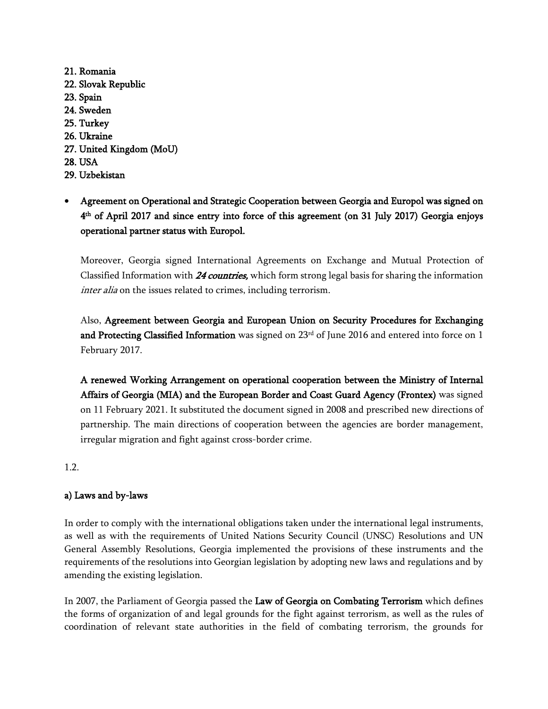**21. Romania 22. Slovak Republic 23. Spain 24. Sweden 25. Turkey 26. Ukraine 27. United Kingdom (MoU) 28. USA 29. Uzbekistan**

# **Agreement on Operational and Strategic Cooperation between Georgia and Europol was signed on 4 th of April 2017 and since entry into force of this agreement (on 31 July 2017) Georgia enjoys operational partner status with Europol.**

Moreover, Georgia signed International Agreements on Exchange and Mutual Protection of Classified Information with *24 countries,* which form strong legal basis for sharing the information *inter alia* on the issues related to crimes, including terrorism.

Also, **Agreement between Georgia and European Union on Security Procedures for Exchanging**  and Protecting Classified Information was signed on 23<sup>rd</sup> of June 2016 and entered into force on 1 February 2017.

**A renewed Working Arrangement on operational cooperation between the Ministry of Internal Affairs of Georgia (MIA) and the European Border and Coast Guard Agency (Frontex)** was signed on 11 February 2021. It substituted the document signed in 2008 and prescribed new directions of partnership. The main directions of cooperation between the agencies are border management, irregular migration and fight against cross-border crime.

1.2.

### **a) Laws and by-laws**

In order to comply with the international obligations taken under the international legal instruments, as well as with the requirements of United Nations Security Council (UNSC) Resolutions and UN General Assembly Resolutions, Georgia implemented the provisions of these instruments and the requirements of the resolutions into Georgian legislation by adopting new laws and regulations and by amending the existing legislation.

In 2007, the Parliament of Georgia passed the **Law of Georgia on Combating Terrorism** which defines the forms of organization of and legal grounds for the fight against terrorism, as well as the rules of coordination of relevant state authorities in the field of combating terrorism, the grounds for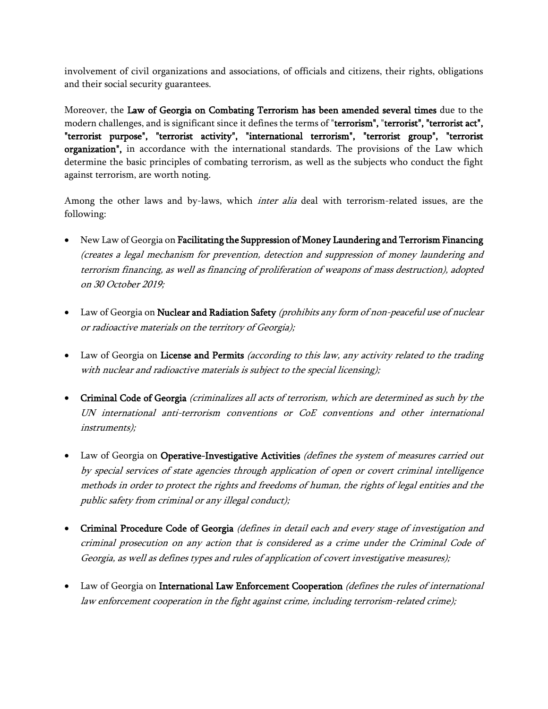involvement of civil organizations and associations, of officials and citizens, their rights, obligations and their social security guarantees.

Moreover, the **Law of Georgia on Combating Terrorism has been amended several times** due to the modern challenges, and is significant since it defines the terms of "**terrorism",** "**terrorist", "terrorist act", "terrorist purpose", "terrorist activity", "international terrorism", "terrorist group", "terrorist organization",** in accordance with the international standards. The provisions of the Law which determine the basic principles of combating terrorism, as well as the subjects who conduct the fight against terrorism, are worth noting.

Among the other laws and by-laws, which *inter alia* deal with terrorism-related issues, are the following:

- New Law of Georgia on **Facilitating the Suppression of Money Laundering and Terrorism Financing**  *(creates a legal mechanism for prevention, detection and suppression of money laundering and terrorism financing, as well as financing of proliferation of weapons of mass destruction), adopted on 30 October 2019;*
- Law of Georgia on **Nuclear and Radiation Safety** *(prohibits any form of non-peaceful use of nuclear or radioactive materials on the territory of Georgia);*
- Law of Georgia on **License and Permits** *(according to this law, any activity related to the trading with nuclear and radioactive materials is subject to the special licensing);*
- **Criminal Code of Georgia** *(criminalizes all acts of terrorism, which are determined as such by the UN international anti-terrorism conventions or CoE conventions and other international instruments);*
- Law of Georgia on **Operative-Investigative Activities** *(defines the system of measures carried out by special services of state agencies through application of open or covert criminal intelligence methods in order to protect the rights and freedoms of human, the rights of legal entities and the public safety from criminal or any illegal conduct);*
- **Criminal Procedure Code of Georgia** *(defines in detail each and every stage of investigation and criminal prosecution on any action that is considered as a crime under the Criminal Code of Georgia, as well as defines types and rules of application of covert investigative measures);*
- Law of Georgia on **International Law Enforcement Cooperation** *(defines the rules of international law enforcement cooperation in the fight against crime, including terrorism-related crime);*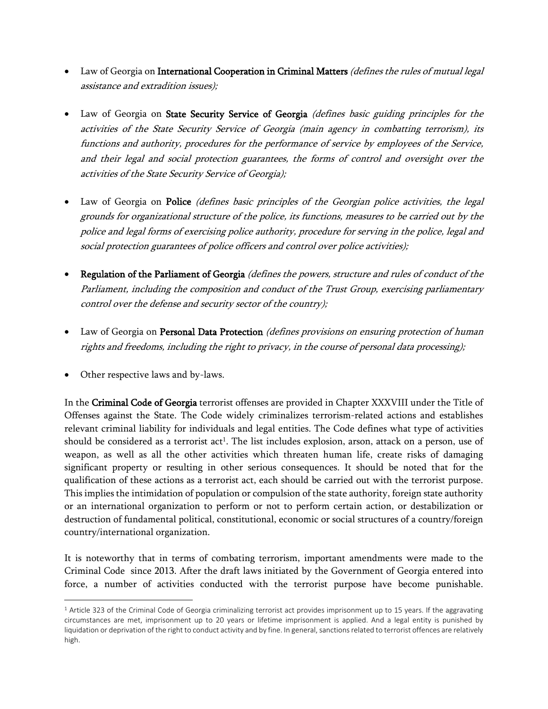- Law of Georgia on **International Cooperation in Criminal Matters** *(defines the rules of mutual legal assistance and extradition issues);*
- Law of Georgia on **State Security Service of Georgia** *(defines basic guiding principles for the activities of the State Security Service of Georgia (main agency in combatting terrorism), its functions and authority, procedures for the performance of service by employees of the Service, and their legal and social protection guarantees, the forms of control and oversight over the activities of the State Security Service of Georgia);*
- Law of Georgia on **Police** *(defines basic principles of the Georgian police activities, the legal grounds for organizational structure of the police, its functions, measures to be carried out by the police and legal forms of exercising police authority, procedure for serving in the police, legal and social protection guarantees of police officers and control over police activities);*
- **Regulation of the Parliament of Georgia** *(defines the powers, structure and rules of conduct of the Parliament, including the composition and conduct of the Trust Group, exercising parliamentary control over the defense and security sector of the country);*
- Law of Georgia on **Personal Data Protection** *(defines provisions on ensuring protection of human rights and freedoms, including the right to privacy, in the course of personal data processing);*
- Other respective laws and by-laws.

In the **Criminal Code of Georgia** terrorist offenses are provided in Chapter XXXVIII under the Title of Offenses against the State. The Code widely criminalizes terrorism-related actions and establishes relevant criminal liability for individuals and legal entities. The Code defines what type of activities should be considered as a terrorist act<sup>1</sup>. The list includes explosion, arson, attack on a person, use of weapon, as well as all the other activities which threaten human life, create risks of damaging significant property or resulting in other serious consequences. It should be noted that for the qualification of these actions as a terrorist act, each should be carried out with the terrorist purpose. This implies the intimidation of population or compulsion of the state authority, foreign state authority or an international organization to perform or not to perform certain action, or destabilization or destruction of fundamental political, constitutional, economic or social structures of a country/foreign country/international organization.

It is noteworthy that in terms of combating terrorism, important amendments were made to the Criminal Code since 2013. After the draft laws initiated by the Government of Georgia entered into force, a number of activities conducted with the terrorist purpose have become punishable.

<sup>&</sup>lt;sup>1</sup> Article 323 of the Criminal Code of Georgia criminalizing terrorist act provides imprisonment up to 15 years. If the aggravating circumstances are met, imprisonment up to 20 years or lifetime imprisonment is applied. And a legal entity is punished by liquidation or deprivation of the right to conduct activity and by fine. In general, sanctions related to terrorist offences are relatively high.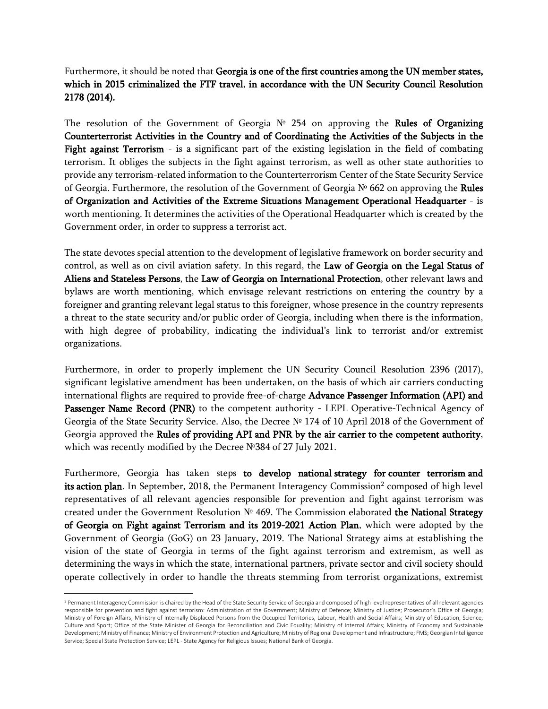Furthermore, it should be noted that **Georgia is one of the first countries among the UN member states, which in 2015 criminalized the FTF travel**, **in accordance with the UN Security Council Resolution 2178 (2014).**

The resolution of the Government of Georgia № 254 on approving the **Rules of Organizing Counterterrorist Activities in the Country and of Coordinating the Activities of the Subjects in the Fight against Terrorism** - is a significant part of the existing legislation in the field of combating terrorism. It obliges the subjects in the fight against terrorism, as well as other state authorities to provide any terrorism-related information to the Counterterrorism Center of the State Security Service of Georgia. Furthermore, the resolution of the Government of Georgia № 662 on approving the **Rules of Organization and Activities of the Extreme Situations Management Operational Headquarter** - is worth mentioning. It determines the activities of the Operational Headquarter which is created by the Government order, in order to suppress a terrorist act.

The state devotes special attention to the development of legislative framework on border security and control, as well as on civil aviation safety. In this regard, the **Law of Georgia on the Legal Status of Aliens and Stateless Persons**, the **Law of Georgia on International Protection**, other relevant laws and bylaws are worth mentioning, which envisage relevant restrictions on entering the country by a foreigner and granting relevant legal status to this foreigner, whose presence in the country represents a threat to the state security and/or public order of Georgia, including when there is the information, with high degree of probability, indicating the individual's link to terrorist and/or extremist organizations.

Furthermore, in order to properly implement the UN Security Council Resolution 2396 (2017), significant legislative amendment has been undertaken, on the basis of which air carriers conducting international flights are required to provide free-of-charge **Advance Passenger Information (API) and**  Passenger Name Record (PNR) to the competent authority - LEPL Operative-Technical Agency of Georgia of the State Security Service. Also, the Decree № 174 of 10 April 2018 of the Government of Georgia approved the **Rules of providing API and PNR by the air carrier to the competent authority**, which was recently modified by the Decree №384 of 27 July 2021.

Furthermore, Georgia has taken steps **to develop national strategy for counter terrorism and**  its action plan. In September, 2018, the Permanent Interagency Commission<sup>2</sup> composed of high level representatives of all relevant agencies responsible for prevention and fight against terrorism was created under the Government Resolution № 469. The Commission elaborated **the National Strategy of Georgia on Fight against Terrorism and its 2019-2021 Action Plan**, which were adopted by the Government of Georgia (GoG) on 23 January, 2019. The National Strategy aims at establishing the vision of the state of Georgia in terms of the fight against terrorism and extremism, as well as determining the ways in which the state, international partners, private sector and civil society should operate collectively in order to handle the threats stemming from terrorist organizations, extremist

<sup>&</sup>lt;sup>2</sup> Permanent Interagency Commission is chaired by the Head of the State Security Service of Georgia and composed of high level representatives of all relevant agencies responsible for prevention and fight against terrorism: Administration of the Government; Ministry of Defence; Ministry of Justice; Prosecutor's Office of Georgia; Ministry of Foreign Affairs; Ministry of Internally Displaced Persons from the Occupied Territories, Labour, Health and Social Affairs; Ministry of Education, Science, Culture and Sport; Office of the State Minister of Georgia for Reconciliation and Civic Equality; Ministry of Internal Affairs; Ministry of Economy and Sustainable Development; Ministry of Finance; Ministry of Environment Protection and Agriculture; Ministry of Regional Development and Infrastructure; FMS; Georgian Intelligence Service; Special State Protection Service; LEPL - State Agency for Religious Issues; National Bank of Georgia.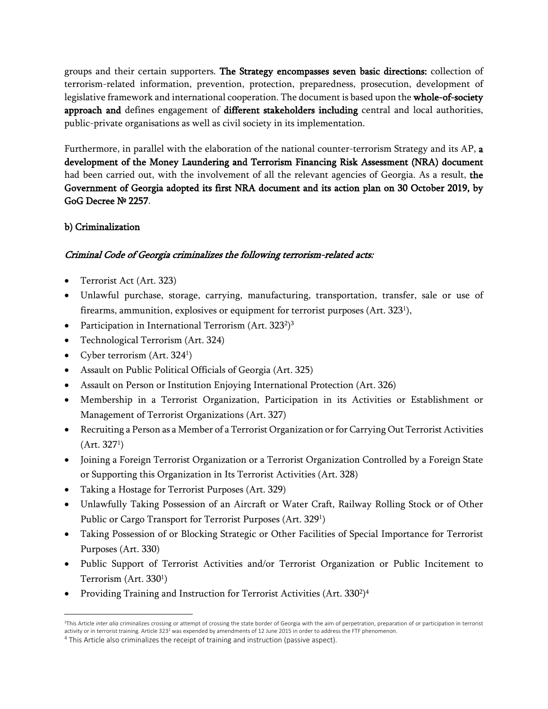groups and their certain supporters. **The Strategy encompasses seven basic directions:** collection of terrorism-related information, prevention, protection, preparedness, prosecution, development of legislative framework and international cooperation. The document is based upon the **whole-of-society approach and** defines engagement of **different stakeholders including** central and local authorities, public-private organisations as well as civil society in its implementation.

Furthermore, in parallel with the elaboration of the national counter-terrorism Strategy and its AP, **a development of the Money Laundering and Terrorism Financing Risk Assessment (NRA) document**  had been carried out, with the involvement of all the relevant agencies of Georgia. As a result, **the Government of Georgia adopted its first NRA document and its action plan on 30 October 2019, by GoG Decree № 2257**.

### **b) Criminalization**

### *Criminal Code of Georgia criminalizes the following terrorism-related acts:*

- Terrorist Act (Art. 323)
- Unlawful purchase, storage, carrying, manufacturing, transportation, transfer, sale or use of firearms, ammunition, explosives or equipment for terrorist purposes (Art.  $323^{\rm l}$ ),
- Participation in International Terrorism (Art. 323<sup>2</sup>)<sup>3</sup>
- Technological Terrorism (Art. 324)
- Cyber terrorism (Art. 324<sup>1</sup>)
- Assault on Public Political Officials of Georgia (Art. 325)
- Assault on Person or Institution Enjoying International Protection (Art. 326)
- Membership in a Terrorist Organization, Participation in its Activities or Establishment or Management of Terrorist Organizations (Art. 327)
- Recruiting a Person as a Member of a Terrorist Organization or for Carrying Out Terrorist Activities  $(A$ rt. 327<sup>1</sup>)
- Joining a Foreign Terrorist Organization or a Terrorist Organization Controlled by a Foreign State or Supporting this Organization in Its Terrorist Activities (Art. 328)
- Taking a Hostage for Terrorist Purposes (Art. 329)
- Unlawfully Taking Possession of an Aircraft or Water Craft, Railway Rolling Stock or of Other Public or Cargo Transport for Terrorist Purposes (Art. 329<sup>1</sup>)
- Taking Possession of or Blocking Strategic or Other Facilities of Special Importance for Terrorist Purposes (Art. 330)
- Public Support of Terrorist Activities and/or Terrorist Organization or Public Incitement to Terrorism (Art. 330<sup>1</sup>)
- Providing Training and Instruction for Terrorist Activities (Art. 330<sup>2</sup>)<sup>4</sup>

<sup>&</sup>lt;sup>3</sup>This Article *inter alia* criminalizes crossing or attempt of crossing the state border of Georgia with the aim of perpetration, preparation of or participation in terrorist activity or in terrorist training. Article 323<sup>2</sup> was expended by amendments of 12 June 2015 in order to address the FTF phenomenon.

<sup>&</sup>lt;sup>4</sup> This Article also criminalizes the receipt of training and instruction (passive aspect).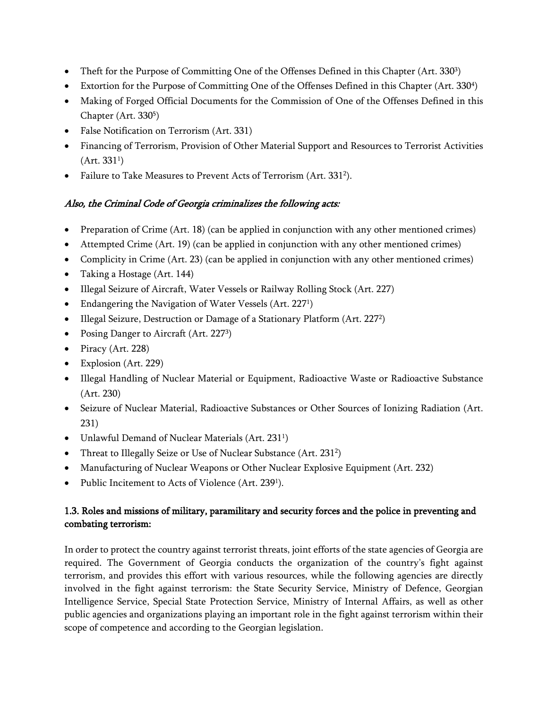- Theft for the Purpose of Committing One of the Offenses Defined in this Chapter (Art. 330<sup>3</sup>)
- Extortion for the Purpose of Committing One of the Offenses Defined in this Chapter (Art. 330<sup>4</sup>)
- Making of Forged Official Documents for the Commission of One of the Offenses Defined in this Chapter (Art. 330<sup>5</sup>)
- False Notification on Terrorism (Art. 331)
- Financing of Terrorism, Provision of Other Material Support and Resources to Terrorist Activities  $(A$ rt. 331<sup>1</sup>)
- Failure to Take Measures to Prevent Acts of Terrorism (Art. 331<sup>2</sup>).

## *Also, the Criminal Code of Georgia criminalizes the following acts:*

- Preparation of Crime (Art. 18) (can be applied in conjunction with any other mentioned crimes)
- Attempted Crime (Art. 19) (can be applied in conjunction with any other mentioned crimes)
- Complicity in Crime (Art. 23) (can be applied in conjunction with any other mentioned crimes)
- Taking a Hostage (Art. 144)
- Illegal Seizure of Aircraft, Water Vessels or Railway Rolling Stock (Art. 227)
- Endangering the Navigation of Water Vessels (Art. 227<sup>1</sup>)
- Illegal Seizure, Destruction or Damage of a Stationary Platform (Art. 227<sup>2</sup>)
- Posing Danger to Aircraft (Art. 2273)
- $\bullet$  Piracy (Art. 228)
- Explosion (Art. 229)
- Illegal Handling of Nuclear Material or Equipment, Radioactive Waste or Radioactive Substance (Art. 230)
- Seizure of Nuclear Material, Radioactive Substances or Other Sources of Ionizing Radiation (Art. 231)
- Unlawful Demand of Nuclear Materials (Art. 231<sup>1</sup>)
- Threat to Illegally Seize or Use of Nuclear Substance (Art. 231<sup>2</sup>)
- Manufacturing of Nuclear Weapons or Other Nuclear Explosive Equipment (Art. 232)
- Public Incitement to Acts of Violence (Art. 239<sup>1</sup>).

## **1.3. Roles and missions of military, paramilitary and security forces and the police in preventing and combating terrorism:**

In order to protect the country against terrorist threats, joint efforts of the state agencies of Georgia are required. The Government of Georgia conducts the organization of the country's fight against terrorism, and provides this effort with various resources, while the following agencies are directly involved in the fight against terrorism: the State Security Service, Ministry of Defence, Georgian Intelligence Service, Special State Protection Service, Ministry of Internal Affairs, as well as other public agencies and organizations playing an important role in the fight against terrorism within their scope of competence and according to the Georgian legislation.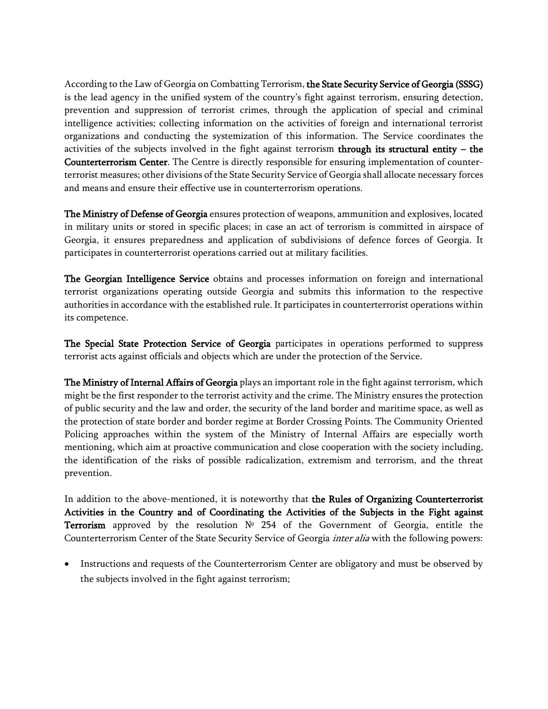According to the Law of Georgia on Combatting Terrorism, **the State Security Service of Georgia (SSSG)** is the lead agency in the unified system of the country's fight against terrorism, ensuring detection, prevention and suppression of terrorist crimes, through the application of special and criminal intelligence activities; collecting information on the activities of foreign and international terrorist organizations and conducting the systemization of this information. The Service coordinates the activities of the subjects involved in the fight against terrorism **through its structural entity – the Counterterrorism Center**. The Centre is directly responsible for ensuring implementation of counterterrorist measures; other divisions of the State Security Service of Georgia shall allocate necessary forces and means and ensure their effective use in counterterrorism operations.

**The Ministry of Defense of Georgia** ensures protection of weapons, ammunition and explosives, located in military units or stored in specific places; in case an act of terrorism is committed in airspace of Georgia, it ensures preparedness and application of subdivisions of defence forces of Georgia. It participates in counterterrorist operations carried out at military facilities.

**The Georgian Intelligence Service** obtains and processes information on foreign and international terrorist organizations operating outside Georgia and submits this information to the respective authorities in accordance with the established rule. It participates in counterterrorist operations within its competence.

**The Special State Protection Service of Georgia** participates in operations performed to suppress terrorist acts against officials and objects which are under the protection of the Service.

**The Ministry of Internal Affairs of Georgia** plays an important role in the fight against terrorism, which might be the first responder to the terrorist activity and the crime. The Ministry ensures the protection of public security and the law and order, the security of the land border and maritime space, as well as the protection of state border and border regime at Border Crossing Points. The Community Oriented Policing approaches within the system of the Ministry of Internal Affairs are especially worth mentioning, which aim at proactive communication and close cooperation with the society including, the identification of the risks of possible radicalization, extremism and terrorism, and the threat prevention.

In addition to the above-mentioned, it is noteworthy that **the Rules of Organizing Counterterrorist Activities in the Country and of Coordinating the Activities of the Subjects in the Fight against Terrorism** approved by the resolution № 254 of the Government of Georgia, entitle the Counterterrorism Center of the State Security Service of Georgia *inter alia* with the following powers:

 Instructions and requests of the Counterterrorism Center are obligatory and must be observed by the subjects involved in the fight against terrorism;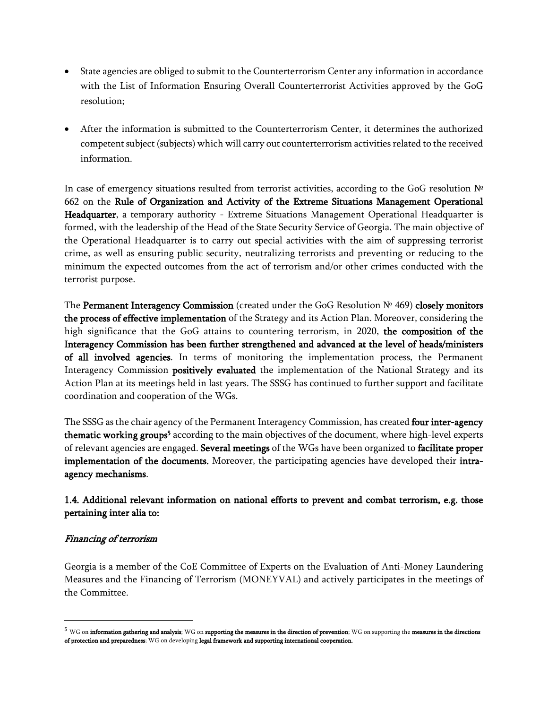- State agencies are obliged to submit to the Counterterrorism Center any information in accordance with the List of Information Ensuring Overall Counterterrorist Activities approved by the GoG resolution;
- After the information is submitted to the Counterterrorism Center, it determines the authorized competent subject (subjects) which will carry out counterterrorism activities related to the received information.

In case of emergency situations resulted from terrorist activities, according to the GoG resolution № 662 on the **Rule of Organization and Activity of the Extreme Situations Management Operational Headquarter**, a temporary authority - Extreme Situations Management Operational Headquarter is formed, with the leadership of the Head of the State Security Service of Georgia. The main objective of the Operational Headquarter is to carry out special activities with the aim of suppressing terrorist crime, as well as ensuring public security, neutralizing terrorists and preventing or reducing to the minimum the expected outcomes from the act of terrorism and/or other crimes conducted with the terrorist purpose.

The **Permanent Interagency Commission** (created under the GoG Resolution № 469) **closely monitors the process of effective implementation** of the Strategy and its Action Plan.Moreover, considering the high significance that the GoG attains to countering terrorism, in 2020, **the composition of the Interagency Commission has been further strengthened and advanced at the level of heads/ministers of all involved agencies**. In terms of monitoring the implementation process, the Permanent Interagency Commission **positively evaluated** the implementation of the National Strategy and its Action Plan at its meetings held in last years. The SSSG has continued to further support and facilitate coordination and cooperation of the WGs.

The SSSG as the chair agency of the Permanent Interagency Commission, has created **four inter-agency**  thematic working groups<sup>5</sup> according to the main objectives of the document, where high-level experts of relevant agencies are engaged. **Several meetings** of the WGs have been organized to **facilitate proper implementation of the documents.** Moreover, the participating agencies have developed their **intraagency mechanisms**.

### **1.4. Additional relevant information on national efforts to prevent and combat terrorism, e.g. those pertaining inter alia to:**

#### *Financing of terrorism*

Georgia is a member of the CoE Committee of Experts on the Evaluation of Anti-Money Laundering Measures and the Financing of Terrorism (MONEYVAL) and actively participates in the meetings of the Committee.

<sup>5</sup> WG on **information gathering and analysis**; WG on **supporting the measures in the direction of prevention**; WG on supporting the **measures in the directions of protection and preparedness**; WG on developing **legal framework and supporting international cooperation.**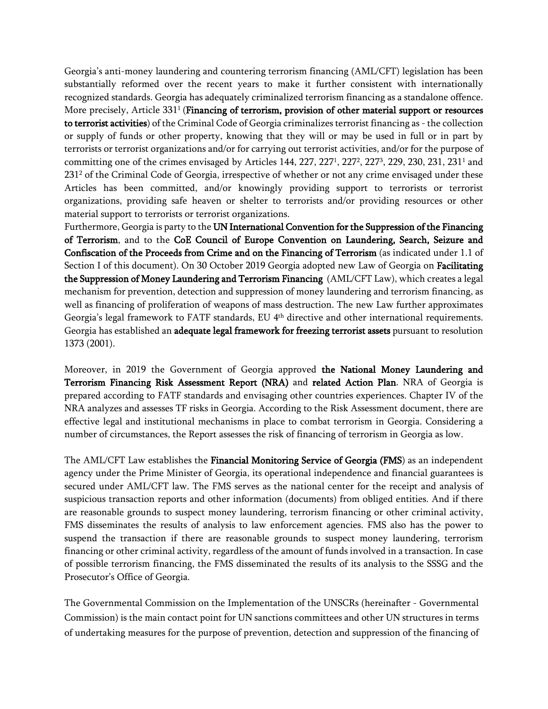Georgia's anti-money laundering and countering terrorism financing (AML/CFT) legislation has been substantially reformed over the recent years to make it further consistent with internationally recognized standards. Georgia has adequately criminalized terrorism financing as a standalone offence. More precisely, Article 331<sup>1</sup>(**Financing of terrorism, provision of other material support or resources to terrorist activities**) of the Criminal Code of Georgia criminalizes terrorist financing as - the collection or supply of funds or other property, knowing that they will or may be used in full or in part by terrorists or terrorist organizations and/or for carrying out terrorist activities, and/or for the purpose of committing one of the crimes envisaged by Articles 144, 227, 227<sup>1</sup>, 227<sup>2</sup>, 227<sup>3</sup>, 229, 230, 231, 231<sup>1</sup> and 231<sup>2</sup> of the Criminal Code of Georgia, irrespective of whether or not any crime envisaged under these Articles has been committed, and/or knowingly providing support to terrorists or terrorist organizations, providing safe heaven or shelter to terrorists and/or providing resources or other material support to terrorists or terrorist organizations.

Furthermore, Georgia is party to the **UN International Convention for the Suppression of the Financing of Terrorism**, and to the **CoE Council of Europe Convention on Laundering, Search, Seizure and Confiscation of the Proceeds from Crime and on the Financing of Terrorism** (as indicated under 1.1 of Section I of this document). On 30 October 2019 Georgia adopted new Law of Georgia on **Facilitating the Suppression of Money Laundering and Terrorism Financing** (AML/CFT Law), which creates a legal mechanism for prevention, detection and suppression of money laundering and terrorism financing, as well as financing of proliferation of weapons of mass destruction. The new Law further approximates Georgia's legal framework to FATF standards, EU 4th directive and other international requirements. Georgia has established an **adequate legal framework for freezing terrorist assets** pursuant to resolution 1373 (2001).

Moreover, in 2019 the Government of Georgia approved **the National Money Laundering and Terrorism Financing Risk Assessment Report (NRA)** and **related Action Plan**. NRA of Georgia is prepared according to FATF standards and envisaging other countries experiences. Chapter IV of the NRA analyzes and assesses TF risks in Georgia. According to the Risk Assessment document, there are effective legal and institutional mechanisms in place to combat terrorism in Georgia. Considering a number of circumstances, the Report assesses the risk of financing of terrorism in Georgia as low.

The AML/CFT Law establishes the **Financial Monitoring Service of Georgia (FMS**) as an independent agency under the Prime Minister of Georgia, its operational independence and financial guarantees is secured under AML/CFT law. The FMS serves as the national center for the receipt and analysis of suspicious transaction reports and other information (documents) from obliged entities. And if there are reasonable grounds to suspect money laundering, terrorism financing or other criminal activity, FMS disseminates the results of analysis to law enforcement agencies. FMS also has the power to suspend the transaction if there are reasonable grounds to suspect money laundering, terrorism financing or other criminal activity, regardless of the amount of funds involved in a transaction. In case of possible terrorism financing, the FMS disseminated the results of its analysis to the SSSG and the Prosecutor's Office of Georgia.

The Governmental Commission on the Implementation of the UNSCRs (hereinafter - Governmental Commission) is the main contact point for UN sanctions committees and other UN structures in terms of undertaking measures for the purpose of prevention, detection and suppression of the financing of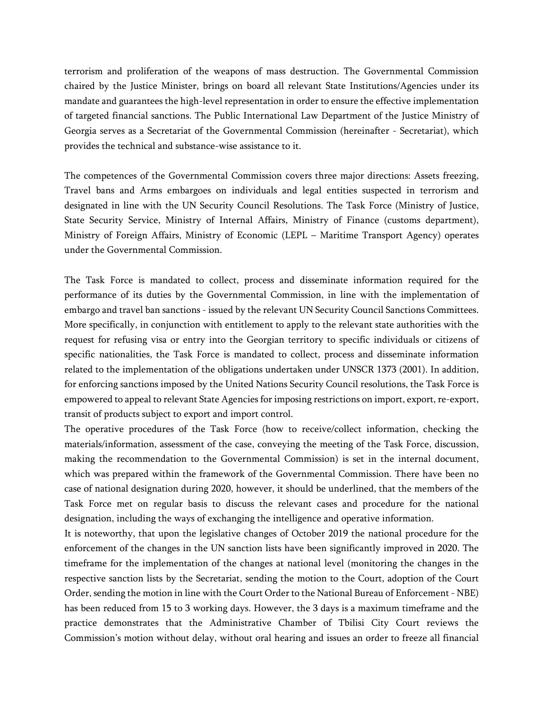terrorism and proliferation of the weapons of mass destruction. The Governmental Commission chaired by the Justice Minister, brings on board all relevant State Institutions/Agencies under its mandate and guarantees the high-level representation in order to ensure the effective implementation of targeted financial sanctions. The Public International Law Department of the Justice Ministry of Georgia serves as a Secretariat of the Governmental Commission (hereinafter - Secretariat), which provides the technical and substance-wise assistance to it.

The competences of the Governmental Commission covers three major directions: Assets freezing, Travel bans and Arms embargoes on individuals and legal entities suspected in terrorism and designated in line with the UN Security Council Resolutions. The Task Force (Ministry of Justice, State Security Service, Ministry of Internal Affairs, Ministry of Finance (customs department), Ministry of Foreign Affairs, Ministry of Economic (LEPL – Maritime Transport Agency) operates under the Governmental Commission.

The Task Force is mandated to collect, process and disseminate information required for the performance of its duties by the Governmental Commission, in line with the implementation of embargo and travel ban sanctions - issued by the relevant UN Security Council Sanctions Committees. More specifically, in conjunction with entitlement to apply to the relevant state authorities with the request for refusing visa or entry into the Georgian territory to specific individuals or citizens of specific nationalities, the Task Force is mandated to collect, process and disseminate information related to the implementation of the obligations undertaken under UNSCR 1373 (2001). In addition, for enforcing sanctions imposed by the United Nations Security Council resolutions, the Task Force is empowered to appeal to relevant State Agencies for imposing restrictions on import, export, re-export, transit of products subject to export and import control.

The operative procedures of the Task Force (how to receive/collect information, checking the materials/information, assessment of the case, conveying the meeting of the Task Force, discussion, making the recommendation to the Governmental Commission) is set in the internal document, which was prepared within the framework of the Governmental Commission. There have been no case of national designation during 2020, however, it should be underlined, that the members of the Task Force met on regular basis to discuss the relevant cases and procedure for the national designation, including the ways of exchanging the intelligence and operative information.

It is noteworthy, that upon the legislative changes of October 2019 the national procedure for the enforcement of the changes in the UN sanction lists have been significantly improved in 2020. The timeframe for the implementation of the changes at national level (monitoring the changes in the respective sanction lists by the Secretariat, sending the motion to the Court, adoption of the Court Order, sending the motion in line with the Court Order to the National Bureau of Enforcement - NBE) has been reduced from 15 to 3 working days. However, the 3 days is a maximum timeframe and the practice demonstrates that the Administrative Chamber of Tbilisi City Court reviews the Commission's motion without delay, without oral hearing and issues an order to freeze all financial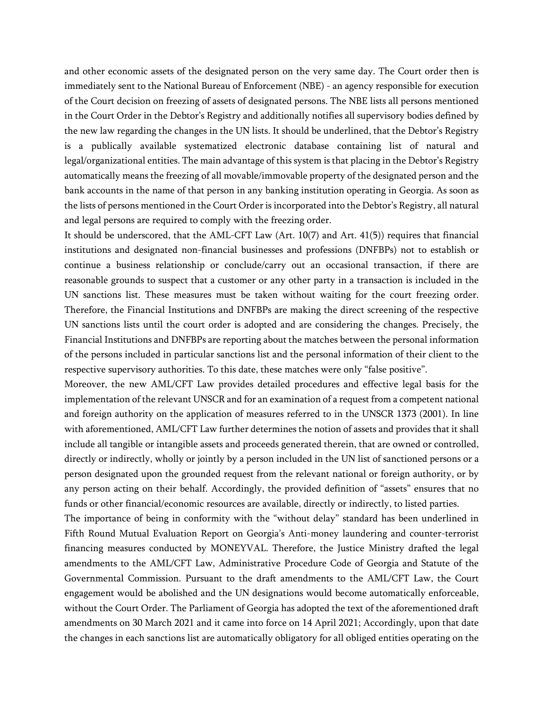and other economic assets of the designated person on the very same day. The Court order then is immediately sent to the National Bureau of Enforcement (NBE) - an agency responsible for execution of the Court decision on freezing of assets of designated persons. The NBE lists all persons mentioned in the Court Order in the Debtor's Registry and additionally notifies all supervisory bodies defined by the new law regarding the changes in the UN lists. It should be underlined, that the Debtor's Registry is a publically available systematized electronic database containing list of natural and legal/organizational entities. The main advantage of this system is that placing in the Debtor's Registry automatically means the freezing of all movable/immovable property of the designated person and the bank accounts in the name of that person in any banking institution operating in Georgia. As soon as the lists of persons mentioned in the Court Order is incorporated into the Debtor's Registry, all natural and legal persons are required to comply with the freezing order.

It should be underscored, that the AML-CFT Law (Art.  $10(7)$  and Art.  $41(5)$ ) requires that financial institutions and designated non-financial businesses and professions (DNFBPs) not to establish or continue a business relationship or conclude/carry out an occasional transaction, if there are reasonable grounds to suspect that a customer or any other party in a transaction is included in the UN sanctions list. These measures must be taken without waiting for the court freezing order. Therefore, the Financial Institutions and DNFBPs are making the direct screening of the respective UN sanctions lists until the court order is adopted and are considering the changes. Precisely, the Financial Institutions and DNFBPs are reporting about the matches between the personal information of the persons included in particular sanctions list and the personal information of their client to the respective supervisory authorities. To this date, these matches were only "false positive".

Moreover, the new AML/CFT Law provides detailed procedures and effective legal basis for the implementation of the relevant UNSCR and for an examination of a request from a competent national and foreign authority on the application of measures referred to in the UNSCR 1373 (2001). In line with aforementioned, AML/CFT Law further determines the notion of assets and provides that it shall include all tangible or intangible assets and proceeds generated therein, that are owned or controlled, directly or indirectly, wholly or jointly by a person included in the UN list of sanctioned persons or a person designated upon the grounded request from the relevant national or foreign authority, or by any person acting on their behalf. Accordingly, the provided definition of "assets" ensures that no funds or other financial/economic resources are available, directly or indirectly, to listed parties.

The importance of being in conformity with the "without delay" standard has been underlined in Fifth Round Mutual Evaluation Report on Georgia's Anti-money laundering and counter-terrorist financing measures conducted by MONEYVAL. Therefore, the Justice Ministry drafted the legal amendments to the AML/CFT Law, Administrative Procedure Code of Georgia and Statute of the Governmental Commission. Pursuant to the draft amendments to the AML/CFT Law, the Court engagement would be abolished and the UN designations would become automatically enforceable, without the Court Order. The Parliament of Georgia has adopted the text of the aforementioned draft amendments on 30 March 2021 and it came into force on 14 April 2021; Accordingly, upon that date the changes in each sanctions list are automatically obligatory for all obliged entities operating on the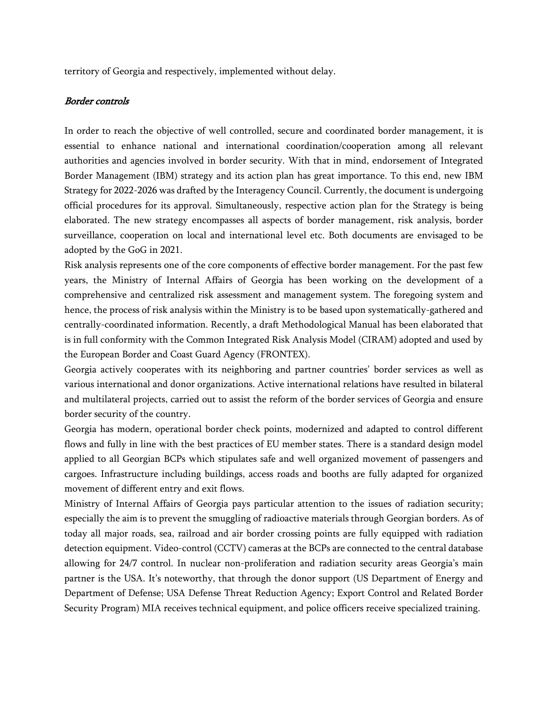territory of Georgia and respectively, implemented without delay.

#### *Border controls*

In order to reach the objective of well controlled, secure and coordinated border management, it is essential to enhance national and international coordination/cooperation among all relevant authorities and agencies involved in border security. With that in mind, endorsement of Integrated Border Management (IBM) strategy and its action plan has great importance. To this end, new IBM Strategy for 2022-2026 was drafted by the Interagency Council. Currently, the document is undergoing official procedures for its approval. Simultaneously, respective action plan for the Strategy is being elaborated. The new strategy encompasses all aspects of border management, risk analysis, border surveillance, cooperation on local and international level etc. Both documents are envisaged to be adopted by the GoG in 2021.

Risk analysis represents one of the core components of effective border management. For the past few years, the Ministry of Internal Affairs of Georgia has been working on the development of a comprehensive and centralized risk assessment and management system. The foregoing system and hence, the process of risk analysis within the Ministry is to be based upon systematically-gathered and centrally-coordinated information. Recently, a draft Methodological Manual has been elaborated that is in full conformity with the Common Integrated Risk Analysis Model (CIRAM) adopted and used by the European Border and Coast Guard Agency (FRONTEX).

Georgia actively cooperates with its neighboring and partner countries' border services as well as various international and donor organizations. Active international relations have resulted in bilateral and multilateral projects, carried out to assist the reform of the border services of Georgia and ensure border security of the country.

Georgia has modern, operational border check points, modernized and adapted to control different flows and fully in line with the best practices of EU member states. There is a standard design model applied to all Georgian BCPs which stipulates safe and well organized movement of passengers and cargoes. Infrastructure including buildings, access roads and booths are fully adapted for organized movement of different entry and exit flows.

Ministry of Internal Affairs of Georgia pays particular attention to the issues of radiation security; especially the aim is to prevent the smuggling of radioactive materials through Georgian borders. As of today all major roads, sea, railroad and air border crossing points are fully equipped with radiation detection equipment. Video-control (CCTV) cameras at the BCPs are connected to the central database allowing for 24/7 control. In nuclear non-proliferation and radiation security areas Georgia's main partner is the USA. It's noteworthy, that through the donor support (US Department of Energy and Department of Defense; USA Defense Threat Reduction Agency; Export Control and Related Border Security Program) MIA receives technical equipment, and police officers receive specialized training.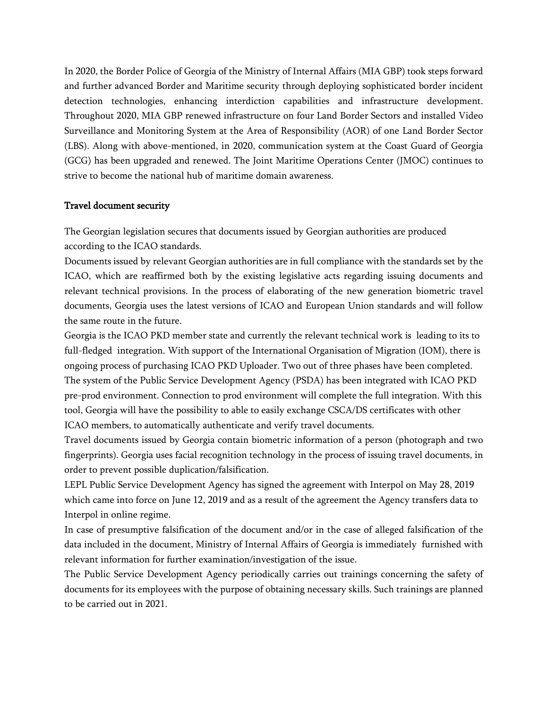In 2020, the Border Police of Georgia of the Ministry of Internal Affairs (MIA GBP) took steps forward and further advanced Border and Maritime security through deploying sophisticated border incident detection technologies, enhancing interdiction capabilities and infrastructure development. Throughout 2020, MIA GBP renewed infrastructure on four Land Border Sectors and installed Video Surveillance and Monitoring System at the Area of Responsibility (AOR) of one Land Border Sector (LBS). Along with above-mentioned, in 2020, communication system at the Coast Guard of Georgia (GCG) has been upgraded and renewed. The Joint Maritime Operations Center (JMOC) continues to strive to become the national hub of maritime domain awareness.

#### **Travel document security**

The Georgian legislation secures that documents issued by Georgian authorities are produced according to the ICAO standards.

Documents issued by relevant Georgian authorities are in full compliance with the standards set by the ICAO, which are reaffirmed both by the existing legislative acts regarding issuing documents and relevant technical provisions. In the process of elaborating of the new generation biometric travel documents, Georgia uses the latest versions of ICAO and European Union standards and will follow the same route in the future.

Georgia is the ICAO PKD member state and currently the relevant technical work is leading to its to full-fledged integration. With support of the International Organisation of Migration (IOM), there is ongoing process of purchasing ICAO PKD Uploader. Two out of three phases have been completed. The system of the Public Service Development Agency (PSDA) has been integrated with ICAO PKD pre-prod environment. Connection to prod environment will complete the full integration. With this tool, Georgia will have the possibility to able to easily exchange CSCA/DS certificates with other ICAO members, to automatically authenticate and verify travel documents.

Travel documents issued by Georgia contain biometric information of a person (photograph and two fingerprints). Georgia uses facial recognition technology in the process of issuing travel documents, in order to prevent possible duplication/falsification.

LEPL Public Service Development Agency has signed the agreement with Interpol on May 28, 2019 which came into force on June 12, 2019 and as a result of the agreement the Agency transfers data to Interpol in online regime.

In case of presumptive falsification of the document and/or in the case of alleged falsification of the data included in the document, Ministry of Internal Affairs of Georgia is immediately furnished with relevant information for further examination/investigation of the issue.

The Public Service Development Agency periodically carries out trainings concerning the safety of documents for its employees with the purpose of obtaining necessary skills. Such trainings are planned to be carried out in 2021.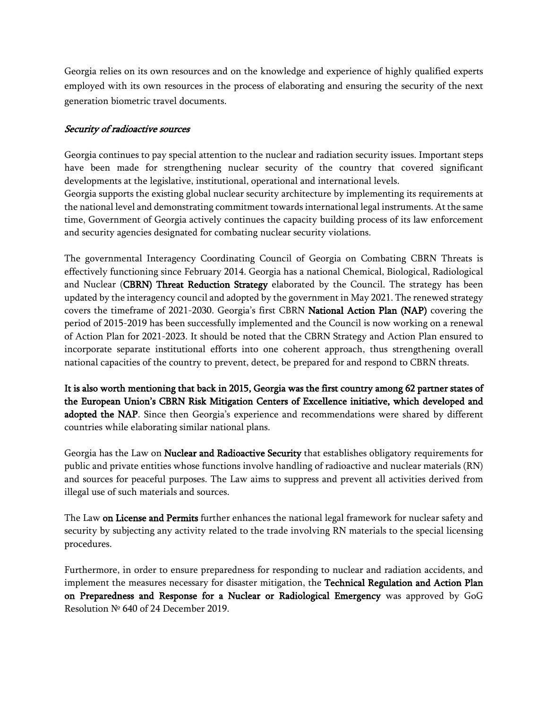Georgia relies on its own resources and on the knowledge and experience of highly qualified experts employed with its own resources in the process of elaborating and ensuring the security of the next generation biometric travel documents.

#### *Security of radioactive sources*

Georgia continues to pay special attention to the nuclear and radiation security issues. Important steps have been made for strengthening nuclear security of the country that covered significant developments at the legislative, institutional, operational and international levels.

Georgia supports the existing global nuclear security architecture by implementing its requirements at the national level and demonstrating commitment towards international legal instruments. At the same time, Government of Georgia actively continues the capacity building process of its law enforcement and security agencies designated for combating nuclear security violations.

The governmental Interagency Coordinating Council of Georgia on Combating CBRN Threats is effectively functioning since February 2014. Georgia has a national Chemical, Biological, Radiological and Nuclear (**CBRN) Threat Reduction Strategy** elaborated by the Council. The strategy has been updated by the interagency council and adopted by the government in May 2021. The renewed strategy covers the timeframe of 2021-2030. Georgia's first CBRN **National Action Plan (NAP)** covering the period of 2015-2019 has been successfully implemented and the Council is now working on a renewal of Action Plan for 2021-2023. It should be noted that the CBRN Strategy and Action Plan ensured to incorporate separate institutional efforts into one coherent approach, thus strengthening overall national capacities of the country to prevent, detect, be prepared for and respond to CBRN threats.

**It is also worth mentioning that back in 2015, Georgia was the first country among 62 partner states of the European Union's CBRN Risk Mitigation Centers of Excellence initiative, which developed and**  adopted the NAP. Since then Georgia's experience and recommendations were shared by different countries while elaborating similar national plans.

Georgia has the Law on **Nuclear and Radioactive Security** thatestablishes obligatory requirements for public and private entities whose functions involve handling of radioactive and nuclear materials (RN) and sources for peaceful purposes. The Law aims to suppress and prevent all activities derived from illegal use of such materials and sources.

The Law **on License and Permits** further enhances the national legal framework for nuclear safety and security by subjecting any activity related to the trade involving RN materials to the special licensing procedures.

Furthermore, in order to ensure preparedness for responding to nuclear and radiation accidents, and implement the measures necessary for disaster mitigation, the **Technical Regulation and Action Plan on Preparedness and Response for a Nuclear or Radiological Emergency** was approved by GoG Resolution № 640 of 24 December 2019.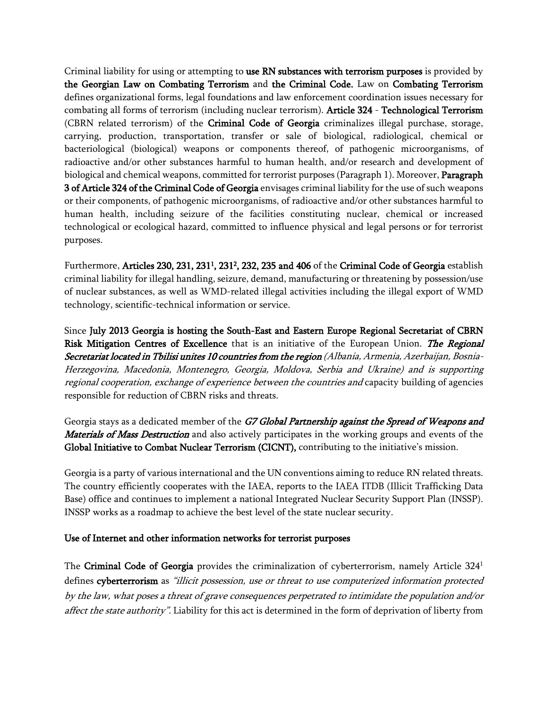Criminal liability for using or attempting to **use RN substances with terrorism purposes** is providedby **the Georgian Law on Combating Terrorism** and **the Criminal Code.** Law on **Combating Terrorism** defines organizational forms, legal foundations and law enforcement coordination issues necessary for combating all forms of terrorism (including nuclear terrorism). **Article 324** - **Technological Terrorism**  (CBRN related terrorism)of the **Criminal Code of Georgia** criminalizes illegal purchase, storage, carrying, production, transportation, transfer or sale of biological, radiological, chemical or bacteriological (biological) weapons or components thereof, of pathogenic microorganisms, of radioactive and/or other substances harmful to human health, and/or research and development of biological and chemical weapons, committed for terrorist purposes (Paragraph 1). Moreover, **Paragraph 3 of Article 324 of the Criminal Code of Georgia** envisages criminal liability for the use of such weapons or their components, of pathogenic microorganisms, of radioactive and/or other substances harmful to human health, including seizure of the facilities constituting nuclear, chemical or increased technological or ecological hazard, committed to influence physical and legal persons or for terrorist purposes.

Furthermore, **Articles 230, 231, 231<sup>1</sup> , 231<sup>2</sup> , 232, 235 and 406** of the **Criminal Code of Georgia** establish criminal liability for illegal handling, seizure, demand, manufacturing or threatening by possession/use of nuclear substances, as well as WMD-related illegal activities including the illegal export of WMD technology, scientific-technical information or service.

Since **July 2013 Georgia is hosting the South-East and Eastern Europe Regional Secretariat of CBRN Risk Mitigation Centres of Excellence** that is an initiative of the European Union. *The Regional Secretariat located in Tbilisi unites 10 countries from the region (Albania, Armenia, Azerbaijan, Bosnia-Herzegovina, Macedonia, Montenegro, Georgia, Moldova, Serbia and Ukraine) and is supporting regional cooperation, exchange of experience between the countries and* capacity building of agencies responsible for reduction of CBRN risks and threats.

Georgia stays as a dedicated member of the *G7 Global Partnership against the Spread of Weapons and Materials of Mass Destruction* and also actively participates in the working groups and events of the **Global Initiative to Combat Nuclear Terrorism (CICNT),** contributing to the initiative's mission.

Georgia is a party of various international and the UN conventions aiming to reduce RN related threats. The country efficiently cooperates with the IAEA, reports to the IAEA ITDB (Illicit Trafficking Data Base) office and continues to implement a national Integrated Nuclear Security Support Plan (INSSP). INSSP works as a roadmap to achieve the best level of the state nuclear security.

#### **Use of Internet and other information networks for terrorist purposes**

The **Criminal Code of Georgia** provides the criminalization of cyberterrorism, namely Article 324<sup>1</sup> defines **cyberterrorism** as *"illicit possession, use or threat to use computerized information protected by the law, what poses a threat of grave consequences perpetrated to intimidate the population and/or affect the state authority".* Liability for this act is determined in the form of deprivation of liberty from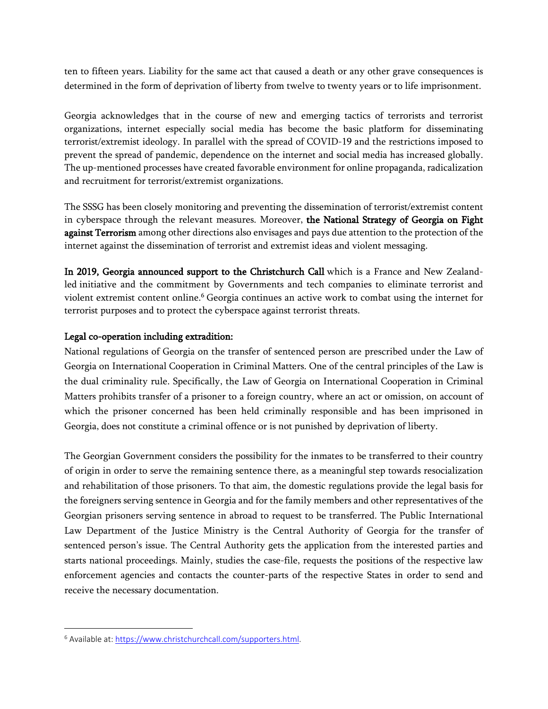ten to fifteen years. Liability for the same act that caused a death or any other grave consequences is determined in the form of deprivation of liberty from twelve to twenty years or to life imprisonment.

Georgia acknowledges that in the course of new and emerging tactics of terrorists and terrorist organizations, internet especially social media has become the basic platform for disseminating terrorist/extremist ideology. In parallel with the spread of COVID-19 and the restrictions imposed to prevent the spread of pandemic, dependence on the internet and social media has increased globally. The up-mentioned processes have created favorable environment for online propaganda, radicalization and recruitment for terrorist/extremist organizations.

The SSSG has been closely monitoring and preventing the dissemination of terrorist/extremist content in cyberspace through the relevant measures. Moreover, **the National Strategy of Georgia on Fight against Terrorism** among other directions also envisages and pays due attention to the protection of the internet against the dissemination of terrorist and extremist ideas and violent messaging.

**In 2019, Georgia announced support to the Christchurch Call** which is a France and New Zealandled initiative and the commitment by Governments and tech companies to eliminate terrorist and violent extremist content online.<sup>6</sup> Georgia continues an active work to combat using the internet for terrorist purposes and to protect the cyberspace against terrorist threats.

#### **Legal co-operation including extradition:**

National regulations of Georgia on the transfer of sentenced person are prescribed under the Law of Georgia on International Cooperation in Criminal Matters. One of the central principles of the Law is the dual criminality rule. Specifically, the Law of Georgia on International Cooperation in Criminal Matters prohibits transfer of a prisoner to a foreign country, where an act or omission, on account of which the prisoner concerned has been held criminally responsible and has been imprisoned in Georgia, does not constitute a criminal offence or is not punished by deprivation of liberty.

The Georgian Government considers the possibility for the inmates to be transferred to their country of origin in order to serve the remaining sentence there, as a meaningful step towards resocialization and rehabilitation of those prisoners. To that aim, the domestic regulations provide the legal basis for the foreigners serving sentence in Georgia and for the family members and other representatives of the Georgian prisoners serving sentence in abroad to request to be transferred. The Public International Law Department of the Justice Ministry is the Central Authority of Georgia for the transfer of sentenced person's issue. The Central Authority gets the application from the interested parties and starts national proceedings. Mainly, studies the case-file, requests the positions of the respective law enforcement agencies and contacts the counter-parts of the respective States in order to send and receive the necessary documentation.

<sup>&</sup>lt;sup>6</sup> Available at: <https://www.christchurchcall.com/supporters.html>.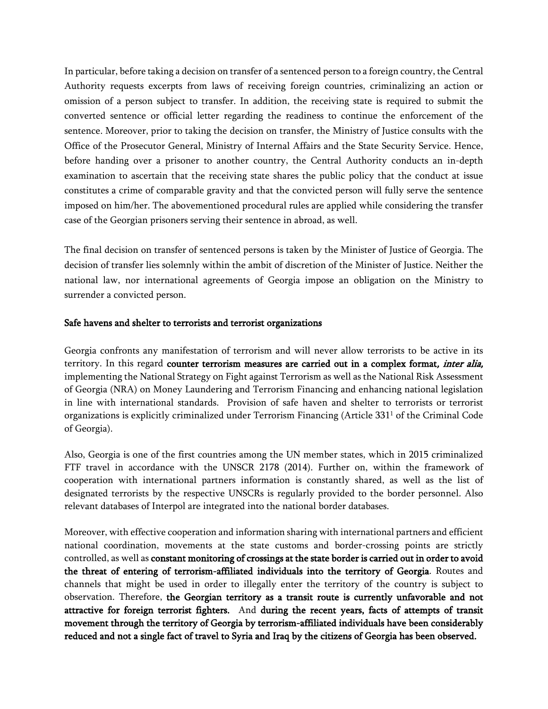In particular, before taking a decision on transfer of a sentenced person to a foreign country, the Central Authority requests excerpts from laws of receiving foreign countries, criminalizing an action or omission of a person subject to transfer. In addition, the receiving state is required to submit the converted sentence or official letter regarding the readiness to continue the enforcement of the sentence. Moreover, prior to taking the decision on transfer, the Ministry of Justice consults with the Office of the Prosecutor General, Ministry of Internal Affairs and the State Security Service. Hence, before handing over a prisoner to another country, the Central Authority conducts an in-depth examination to ascertain that the receiving state shares the public policy that the conduct at issue constitutes a crime of comparable gravity and that the convicted person will fully serve the sentence imposed on him/her. The abovementioned procedural rules are applied while considering the transfer case of the Georgian prisoners serving their sentence in abroad, as well.

The final decision on transfer of sentenced persons is taken by the Minister of Justice of Georgia. The decision of transfer lies solemnly within the ambit of discretion of the Minister of Justice. Neither the national law, nor international agreements of Georgia impose an obligation on the Ministry to surrender a convicted person.

#### **Safe havens and shelter to terrorists and terrorist organizations**

Georgia confronts any manifestation of terrorism and will never allow terrorists to be active in its territory. In this regard **counter terrorism measures are carried out in a complex format***, inter alia,* implementing the National Strategy on Fight against Terrorism as well as the National Risk Assessment of Georgia (NRA) on Money Laundering and Terrorism Financing and enhancing national legislation in line with international standards. Provision of safe haven and shelter to terrorists or terrorist organizations is explicitly criminalized under Terrorism Financing (Article 331<sup>1</sup> of the Criminal Code of Georgia).

Also, Georgia is one of the first countries among the UN member states, which in 2015 criminalized FTF travel in accordance with the UNSCR 2178 (2014). Further on, within the framework of cooperation with international partners information is constantly shared, as well as the list of designated terrorists by the respective UNSCRs is regularly provided to the border personnel. Also relevant databases of Interpol are integrated into the national border databases.

Moreover, with effective cooperation and information sharing with international partners and efficient national coordination, movements at the state customs and border-crossing points are strictly controlled, as well as **constant monitoring of crossings at the state border is carried out in order to avoid the threat of entering of terrorism-affiliated individuals into the territory of Georgia**. Routes and channels that might be used in order to illegally enter the territory of the country is subject to observation. Therefore, **the Georgian territory as a transit route is currently unfavorable and not attractive for foreign terrorist fighters.** And **during the recent years, facts of attempts of transit movement through the territory of Georgia by terrorism-affiliated individuals have been considerably reduced and not a single fact of travel to Syria and Iraq by the citizens of Georgia has been observed.**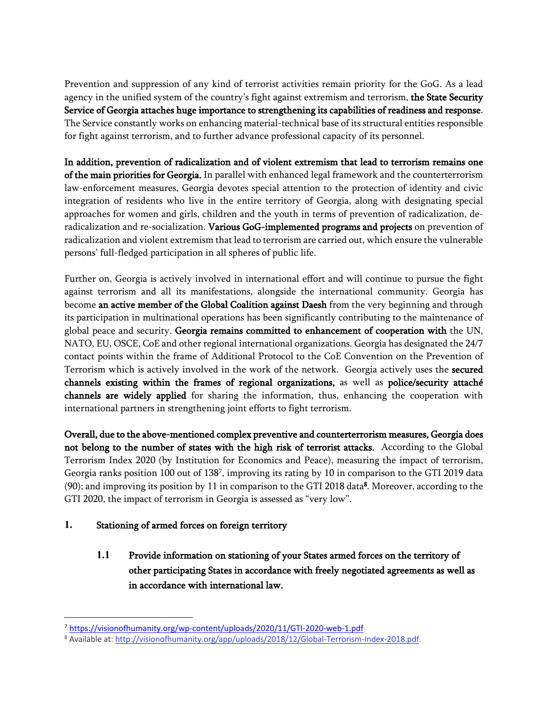Prevention and suppression of any kind of terrorist activities remain priority for the GoG. As a lead agency in the unified system of the country's fight against extremism and terrorism, **the State Security Service of Georgia attaches huge importance to strengthening its capabilities of readiness and response**. The Service constantly works on enhancing material-technical base of its structural entities responsible for fight against terrorism, and to further advance professional capacity of its personnel.

**In addition, prevention of radicalization and of violent extremism that lead to terrorism remains one of the main priorities for Georgia.** In parallel with enhanced legal framework and the counterterrorism law-enforcement measures, Georgia devotes special attention to the protection of identity and civic integration of residents who live in the entire territory of Georgia, along with designating special approaches for women and girls, children and the youth in terms of prevention of radicalization, deradicalization and re-socialization. **Various GoG-implemented programs and projects** on prevention of radicalization and violent extremism that lead to terrorismare carried out, which ensure the vulnerable persons' full-fledged participation in all spheres of public life.

Further on,Georgia is actively involved in international effort and will continue to pursue the fight against terrorism and all its manifestations, alongside the international community. Georgia has become **an active member of the Global Coalition against Daesh** from the very beginning and through its participation in multinational operations has been significantly contributing to the maintenance of global peace and security. **Georgia remains committed to enhancement of cooperation with** the UN, NATO, EU, OSCE, CoE and other regional international organizations. Georgia has designated the 24/7 contact points within the frame of Additional Protocol to the CoE Convention on the Prevention of Terrorism which is actively involved in the work of the network. Georgia actively uses the **secured channels existing within the frames of regional organizations,** as well as **police/security attaché channels are widely applied** for sharing the information, thus, enhancing the cooperation with international partners in strengthening joint efforts to fight terrorism.

**Overall, due to the above-mentioned complex preventive and counterterrorism measures, Georgia does not belong to the number of states with the high risk of terrorist attacks.** According to the Global Terrorism Index 2020 (by Institution for Economics and Peace), measuring the impact of terrorism, Georgia ranks position 100 out of 138<sup>7</sup> , improving its rating by 10 in comparison to the GTI 2019 data (90); and improving its position by 11 in comparison to the GTI 2018 data**<sup>8</sup>** . Moreover, according to the GTI 2020, the impact of terrorism in Georgia is assessed as "very low".

### **1. Stationing of armed forces on foreign territory**

**1.1 Provide information on stationing of your States armed forces on the territory of other participating States in accordance with freely negotiated agreements as well as in accordance with international law.** 

<sup>7</sup> <https://visionofhumanity.org/wp-content/uploads/2020/11/GTI-2020-web-1.pdf>

<sup>&</sup>lt;sup>8</sup> Available at: [http://visionofhumanity.org/app/uploads/2018/12/Global-Terrorism-Index-2018.pdf.](http://visionofhumanity.org/app/uploads/2018/12/Global-Terrorism-Index-2018.pdf)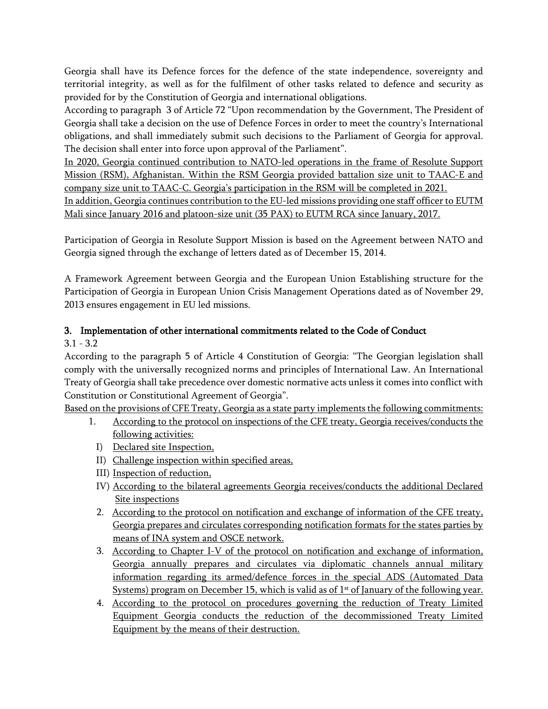Georgia shall have its Defence forces for the defence of the state independence, sovereignty and territorial integrity, as well as for the fulfilment of other tasks related to defence and security as provided for by the Constitution of Georgia and international obligations.

According to paragraph 3 of Article 72 "Upon recommendation by the Government, The President of Georgia shall take a decision on the use of Defence Forces in order to meet the country's International obligations, and shall immediately submit such decisions to the Parliament of Georgia for approval. The decision shall enter into force upon approval of the Parliament".

In 2020, Georgia continued contribution to NATO-led operations in the frame of Resolute Support Mission (RSM), Afghanistan. Within the RSM Georgia provided battalion size unit to TAAC-E and company size unit to TAAC-C. Georgia's participation in the RSM will be completed in 2021.

In addition, Georgia continues contribution to the EU-led missions providing one staff officer to EUTM Mali since January 2016 and platoon-size unit (35 PAX) to EUTM RCA since January, 2017.

Participation of Georgia in Resolute Support Mission is based on the Agreement between NATO and Georgia signed through the exchange of letters dated as of December 15, 2014.

A Framework Agreement between Georgia and the European Union Establishing structure for the Participation of Georgia in European Union Crisis Management Operations dated as of November 29, 2013 ensures engagement in EU led missions.

#### **3. Implementation of other international commitments related to the Code of Conduct** 3.1 - 3.2

According to the paragraph 5 of Article 4 Constitution of Georgia: "The Georgian legislation shall comply with the universally recognized norms and principles of International Law. An International Treaty of Georgia shall take precedence over domestic normative acts unless it comes into conflict with Constitution or Constitutional Agreement of Georgia".

Based on the provisions of CFE Treaty, Georgia as a state party implements the following commitments:

- 1. According to the protocol on inspections of the CFE treaty, Georgia receives/conducts the following activities:
	- I) Declared site Inspection,
	- II) Challenge inspection within specified areas,
	- III) Inspection of reduction,
	- IV) According to the bilateral agreements Georgia receives/conducts the additional Declared Site inspections
	- 2. According to the protocol on notification and exchange of information of the CFE treaty, Georgia prepares and circulates corresponding notification formats for the states parties by means of INA system and OSCE network.
	- 3. According to Chapter I-V of the protocol on notification and exchange of information, Georgia annually prepares and circulates via diplomatic channels annual military information regarding its armed/defence forces in the special ADS (Automated Data Systems) program on December 15, which is valid as of  $1<sup>st</sup>$  of January of the following year.
	- 4. According to the protocol on procedures governing the reduction of Treaty Limited Equipment Georgia conducts the reduction of the decommissioned Treaty Limited Equipment by the means of their destruction.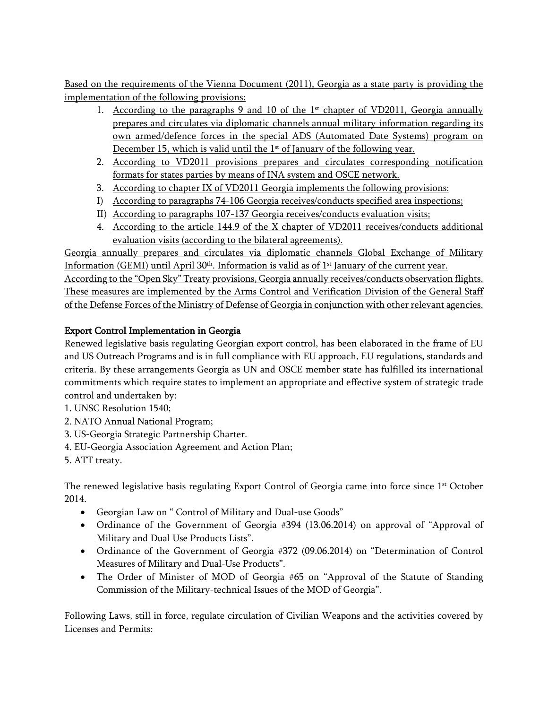Based on the requirements of the Vienna Document (2011), Georgia as a state party is providing the implementation of the following provisions:

- 1. According to the paragraphs 9 and 10 of the  $1<sup>st</sup>$  chapter of VD2011, Georgia annually prepares and circulates via diplomatic channels annual military information regarding its own armed/defence forces in the special ADS (Automated Date Systems) program on December 15, which is valid until the  $1<sup>st</sup>$  of January of the following year.
- 2. According to VD2011 provisions prepares and circulates corresponding notification formats for states parties by means of INA system and OSCE network.
- 3. According to chapter IX of VD2011 Georgia implements the following provisions:
- I) According to paragraphs 74-106 Georgia receives/conducts specified area inspections;
- II) According to paragraphs 107-137 Georgia receives/conducts evaluation visits;
- 4. According to the article 144.9 of the X chapter of VD2011 receives/conducts additional evaluation visits (according to the bilateral agreements).

Georgia annually prepares and circulates via diplomatic channels Global Exchange of Military Information (GEMI) until April 30<sup>th</sup>. Information is valid as of 1<sup>st</sup> January of the current year.

According to the "Open Sky" Treaty provisions, Georgia annually receives/conducts observation flights. These measures are implemented by the Arms Control and Verification Division of the General Staff of the Defense Forces of the Ministry of Defense of Georgia in conjunction with other relevant agencies.

## **Export Control Implementation in Georgia**

Renewed legislative basis regulating Georgian export control, has been elaborated in the frame of EU and US Outreach Programs and is in full compliance with EU approach, EU regulations, standards and criteria. By these arrangements Georgia as UN and OSCE member state has fulfilled its international commitments which require states to implement an appropriate and effective system of strategic trade control and undertaken by:

- 1. UNSC Resolution 1540;
- 2. NATO Annual National Program;
- 3. US-Georgia Strategic Partnership Charter.
- 4. EU-Georgia Association Agreement and Action Plan;
- 5. ATT treaty.

The renewed legislative basis regulating Export Control of Georgia came into force since  $1<sup>st</sup>$  October 2014.

- Georgian Law on " Control of Military and Dual-use Goods"
- Ordinance of the Government of Georgia #394 (13.06.2014) on approval of "Approval of Military and Dual Use Products Lists".
- Ordinance of the Government of Georgia #372 (09.06.2014) on "Determination of Control Measures of Military and Dual-Use Products".
- The Order of Minister of MOD of Georgia #65 on "Approval of the Statute of Standing Commission of the Military-technical Issues of the MOD of Georgia".

Following Laws, still in force, regulate circulation of Civilian Weapons and the activities covered by Licenses and Permits: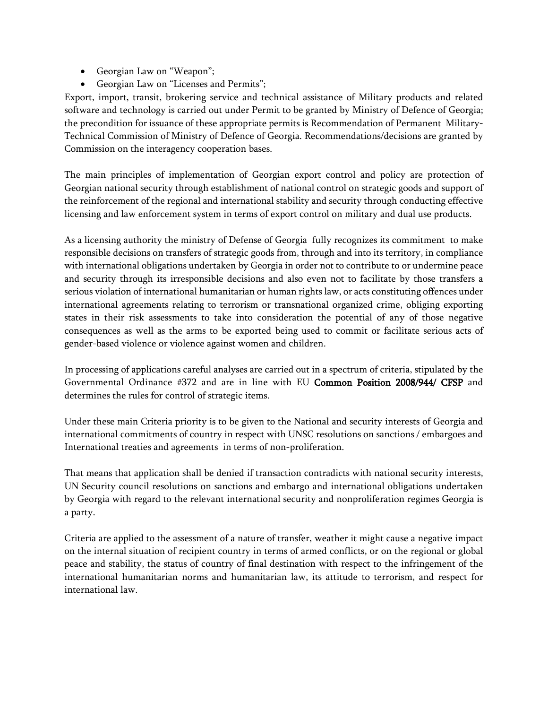- Georgian Law on "Weapon";
- Georgian Law on "Licenses and Permits";

Export, import, transit, brokering service and technical assistance of Military products and related software and technology is carried out under Permit to be granted by Ministry of Defence of Georgia; the precondition for issuance of these appropriate permits is Recommendation of Permanent Military-Technical Commission of Ministry of Defence of Georgia. Recommendations/decisions are granted by Commission on the interagency cooperation bases.

The main principles of implementation of Georgian export control and policy are protection of Georgian national security through establishment of national control on strategic goods and support of the reinforcement of the regional and international stability and security through conducting effective licensing and law enforcement system in terms of export control on military and dual use products.

As a licensing authority the ministry of Defense of Georgia fully recognizes its commitment to make responsible decisions on transfers of strategic goods from, through and into its territory, in compliance with international obligations undertaken by Georgia in order not to contribute to or undermine peace and security through its irresponsible decisions and also even not to facilitate by those transfers a serious violation of international humanitarian or human rights law, or acts constituting offences under international agreements relating to terrorism or transnational organized crime, obliging exporting states in their risk assessments to take into consideration the potential of any of those negative consequences as well as the arms to be exported being used to commit or facilitate serious acts of gender-based violence or violence against women and children.

In processing of applications careful analyses are carried out in a spectrum of criteria, stipulated by the Governmental Ordinance #372 and are in line with EU **Common Position 2008/944/ CFSP** and determines the rules for control of strategic items.

Under these main Criteria priority is to be given to the National and security interests of Georgia and international commitments of country in respect with UNSC resolutions on sanctions / embargoes and International treaties and agreements in terms of non-proliferation.

That means that application shall be denied if transaction contradicts with national security interests, UN Security council resolutions on sanctions and embargo and international obligations undertaken by Georgia with regard to the relevant international security and nonproliferation regimes Georgia is a party.

Criteria are applied to the assessment of a nature of transfer, weather it might cause a negative impact on the internal situation of recipient country in terms of armed conflicts, or on the regional or global peace and stability, the status of country of final destination with respect to the infringement of the international humanitarian norms and humanitarian law, its attitude to terrorism, and respect for international law.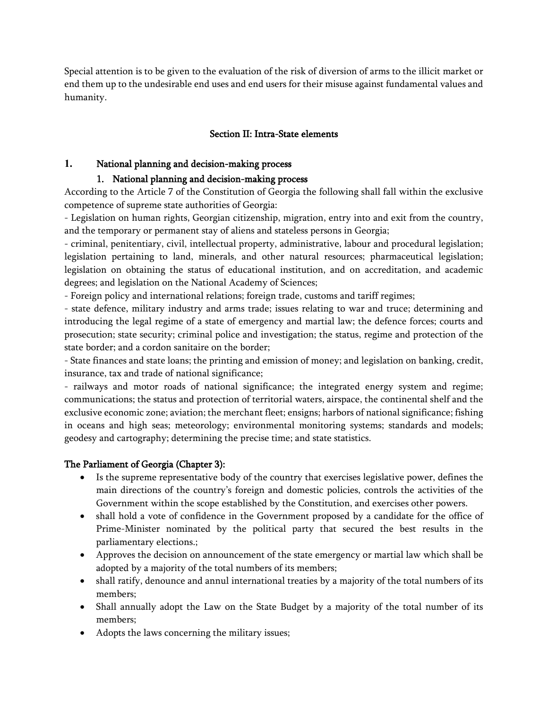Special attention is to be given to the evaluation of the risk of diversion of arms to the illicit market or end them up to the undesirable end uses and end users for their misuse against fundamental values and humanity.

### **Section II: Intra-State elements**

#### **1. National planning and decision-making process**

#### **1. National planning and decision-making process**

According to the Article 7 of the Constitution of Georgia the following shall fall within the exclusive competence of supreme state authorities of Georgia:

- Legislation on human rights, Georgian citizenship, migration, entry into and exit from the country, and the temporary or permanent stay of aliens and stateless persons in Georgia;

- criminal, penitentiary, civil, intellectual property, administrative, labour and procedural legislation; legislation pertaining to land, minerals, and other natural resources; pharmaceutical legislation; legislation on obtaining the status of educational institution, and on accreditation, and academic degrees; and legislation on the National Academy of Sciences;

- Foreign policy and international relations; foreign trade, customs and tariff regimes;

- state defence, military industry and arms trade; issues relating to war and truce; determining and introducing the legal regime of a state of emergency and martial law; the defence forces; courts and prosecution; state security; criminal police and investigation; the status, regime and protection of the state border; and a cordon sanitaire on the border;

- State finances and state loans; the printing and emission of money; and legislation on banking, credit, insurance, tax and trade of national significance;

- railways and motor roads of national significance; the integrated energy system and regime; communications; the status and protection of territorial waters, airspace, the continental shelf and the exclusive economic zone; aviation; the merchant fleet; ensigns; harbors of national significance; fishing in oceans and high seas; meteorology; environmental monitoring systems; standards and models; geodesy and cartography; determining the precise time; and state statistics.

#### **The Parliament of Georgia (Chapter 3):**

- Is the supreme representative body of the country that exercises legislative power, defines the main directions of the country's foreign and domestic policies, controls the activities of the Government within the scope established by the Constitution, and exercises other powers.
- shall hold a vote of confidence in the Government proposed by a candidate for the office of Prime-Minister nominated by the political party that secured the best results in the parliamentary elections.;
- Approves the decision on announcement of the state emergency or martial law which shall be adopted by a majority of the total numbers of its members;
- shall ratify, denounce and annul international treaties by a majority of the total numbers of its members;
- Shall annually adopt the Law on the State Budget by a majority of the total number of its members;
- Adopts the laws concerning the military issues;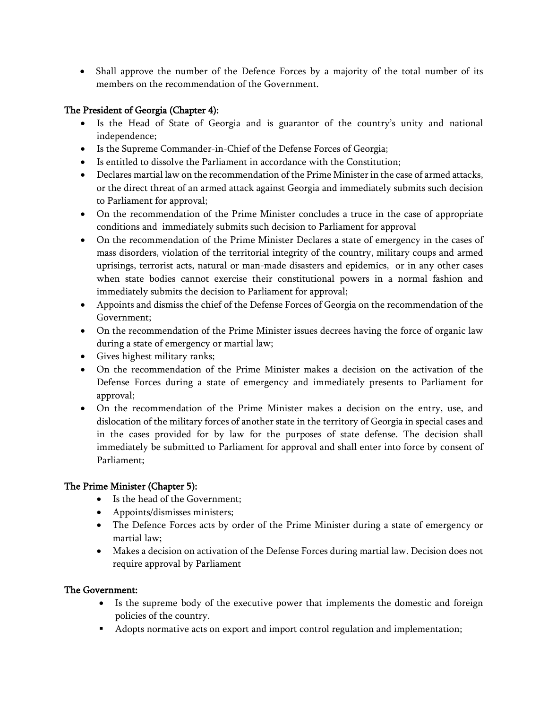Shall approve the number of the Defence Forces by a majority of the total number of its members on the recommendation of the Government.

### **The President of Georgia (Chapter 4):**

- Is the Head of State of Georgia and is guarantor of the country's unity and national independence;
- Is the Supreme Commander-in-Chief of the Defense Forces of Georgia;
- Is entitled to dissolve the Parliament in accordance with the Constitution;
- Declares martial law on the recommendation of the Prime Minister in the case of armed attacks, or the direct threat of an armed attack against Georgia and immediately submits such decision to Parliament for approval;
- On the recommendation of the Prime Minister concludes a truce in the case of appropriate conditions and immediately submits such decision to Parliament for approval
- On the recommendation of the Prime Minister Declares a state of emergency in the cases of mass disorders, violation of the territorial integrity of the country, military coups and armed uprisings, terrorist acts, natural or man-made disasters and epidemics, or in any other cases when state bodies cannot exercise their constitutional powers in a normal fashion and immediately submits the decision to Parliament for approval;
- Appoints and dismiss the chief of the Defense Forces of Georgia on the recommendation of the Government;
- On the recommendation of the Prime Minister issues decrees having the force of organic law during a state of emergency or martial law;
- Gives highest military ranks;
- On the recommendation of the Prime Minister makes a decision on the activation of the Defense Forces during a state of emergency and immediately presents to Parliament for approval;
- On the recommendation of the Prime Minister makes a decision on the entry, use, and dislocation of the military forces of another state in the territory of Georgia in special cases and in the cases provided for by law for the purposes of state defense. The decision shall immediately be submitted to Parliament for approval and shall enter into force by consent of Parliament;

### **The Prime Minister (Chapter 5):**

- Is the head of the Government;
- Appoints/dismisses ministers;
- The Defence Forces acts by order of the Prime Minister during a state of emergency or martial law;
- Makes a decision on activation of the Defense Forces during martial law. Decision does not require approval by Parliament

#### **The Government:**

- Is the supreme body of the executive power that implements the domestic and foreign policies of the country.
- Adopts normative acts on export and import control regulation and implementation;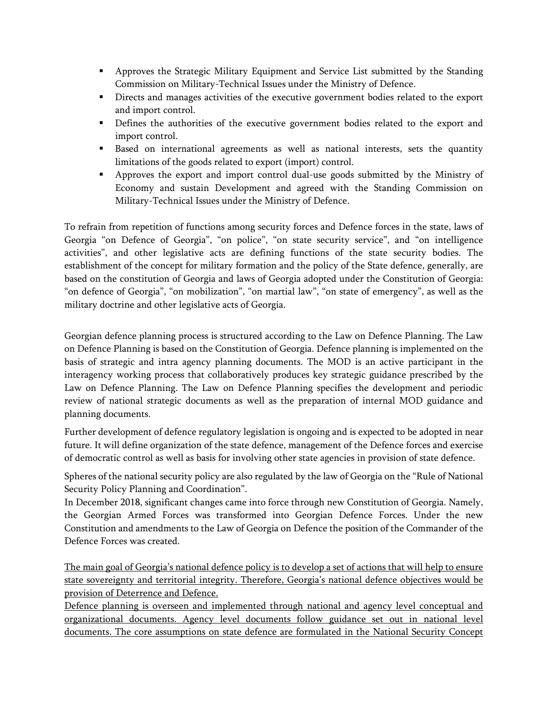- Approves the Strategic Military Equipment and Service List submitted by the Standing Commission on Military-Technical Issues under the Ministry of Defence.
- Directs and manages activities of the executive government bodies related to the export and import control.
- Defines the authorities of the executive government bodies related to the export and import control.
- Based on international agreements as well as national interests, sets the quantity limitations of the goods related to export (import) control.
- Approves the export and import control dual-use goods submitted by the Ministry of Economy and sustain Development and agreed with the Standing Commission on Military-Technical Issues under the Ministry of Defence.

To refrain from repetition of functions among security forces and Defence forces in the state, laws of Georgia "on Defence of Georgia", "on police", "on state security service", and "on intelligence activities", and other legislative acts are defining functions of the state security bodies. The establishment of the concept for military formation and the policy of the State defence, generally, are based on the constitution of Georgia and laws of Georgia adopted under the Constitution of Georgia: "on defence of Georgia", "on mobilization", "on martial law", "on state of emergency", as well as the military doctrine and other legislative acts of Georgia.

Georgian defence planning process is structured according to the Law on Defence Planning. The Law on Defence Planning is based on the Constitution of Georgia. Defence planning is implemented on the basis of strategic and intra agency planning documents. The MOD is an active participant in the interagency working process that collaboratively produces key strategic guidance prescribed by the Law on Defence Planning. The Law on Defence Planning specifies the development and periodic review of national strategic documents as well as the preparation of internal MOD guidance and planning documents.

Further development of defence regulatory legislation is ongoing and is expected to be adopted in near future. It will define organization of the state defence, management of the Defence forces and exercise of democratic control as well as basis for involving other state agencies in provision of state defence.

Spheres of the national security policy are also regulated by the law of Georgia on the "Rule of National Security Policy Planning and Coordination".

In December 2018, significant changes came into force through new Constitution of Georgia. Namely, the Georgian Armed Forces was transformed into Georgian Defence Forces. Under the new Constitution and amendments to the Law of Georgia on Defence the position of the Commander of the Defence Forces was created.

The main goal of Georgia's national defence policy is to develop a set of actions that will help to ensure state sovereignty and territorial integrity. Therefore, Georgia's national defence objectives would be provision of Deterrence and Defence.

Defence planning is overseen and implemented through national and agency level conceptual and organizational documents. Agency level documents follow guidance set out in national level documents. The core assumptions on state defence are formulated in the National Security Concept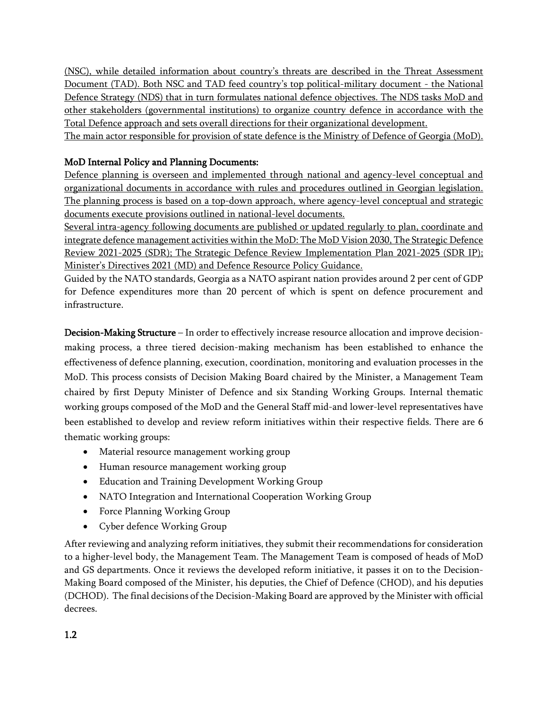(NSC), while detailed information about country's threats are described in the Threat Assessment Document (TAD). Both NSC and TAD feed country's top political-military document - the National Defence Strategy (NDS) that in turn formulates national defence objectives. The NDS tasks MoD and other stakeholders (governmental institutions) to organize country defence in accordance with the Total Defence approach and sets overall directions for their organizational development.

The main actor responsible for provision of state defence is the Ministry of Defence of Georgia (MoD).

## **MoD Internal Policy and Planning Documents:**

Defence planning is overseen and implemented through national and agency-level conceptual and organizational documents in accordance with rules and procedures outlined in Georgian legislation. The planning process is based on a top-down approach, where agency-level conceptual and strategic documents execute provisions outlined in national-level documents.

Several intra-agency following documents are published or updated regularly to plan, coordinate and integrate defence management activities within the MoD: The MoD Vision 2030, The Strategic Defence Review 2021-2025 (SDR); The Strategic Defence Review Implementation Plan 2021-2025 (SDR IP); Minister's Directives 2021 (MD) and Defence Resource Policy Guidance.

Guided by the NATO standards, Georgia as a NATO aspirant nation provides around 2 per cent of GDP for Defence expenditures more than 20 percent of which is spent on defence procurement and infrastructure.

**Decision-Making Structure** – In order to effectively increase resource allocation and improve decisionmaking process, a three tiered decision-making mechanism has been established to enhance the effectiveness of defence planning, execution, coordination, monitoring and evaluation processes in the MoD. This process consists of Decision Making Board chaired by the Minister, a Management Team chaired by first Deputy Minister of Defence and six Standing Working Groups. Internal thematic working groups composed of the MoD and the General Staff mid-and lower-level representatives have been established to develop and review reform initiatives within their respective fields. There are 6 thematic working groups:

- Material resource management working group
- Human resource management working group
- Education and Training Development Working Group
- NATO Integration and International Cooperation Working Group
- Force Planning Working Group
- Cyber defence Working Group

After reviewing and analyzing reform initiatives, they submit their recommendations for consideration to a higher-level body, the Management Team. The Management Team is composed of heads of MoD and GS departments. Once it reviews the developed reform initiative, it passes it on to the Decision-Making Board composed of the Minister, his deputies, the Chief of Defence (CHOD), and his deputies (DCHOD). The final decisions of the Decision-Making Board are approved by the Minister with official decrees.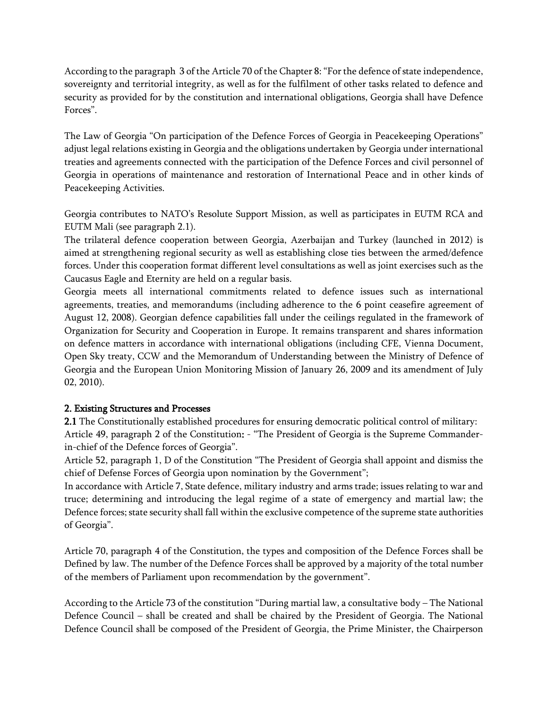According to the paragraph 3 of the Article 70 of the Chapter 8: "For the defence of state independence, sovereignty and territorial integrity, as well as for the fulfilment of other tasks related to defence and security as provided for by the constitution and international obligations, Georgia shall have Defence Forces".

The Law of Georgia "On participation of the Defence Forces of Georgia in Peacekeeping Operations" adjust legal relations existing in Georgia and the obligations undertaken by Georgia under international treaties and agreements connected with the participation of the Defence Forces and civil personnel of Georgia in operations of maintenance and restoration of International Peace and in other kinds of Peacekeeping Activities.

Georgia contributes to NATO's Resolute Support Mission, as well as participates in EUTM RCA and EUTM Mali (see paragraph 2.1).

The trilateral defence cooperation between Georgia, Azerbaijan and Turkey (launched in 2012) is aimed at strengthening regional security as well as establishing close ties between the armed/defence forces. Under this cooperation format different level consultations as well as joint exercises such as the Caucasus Eagle and Eternity are held on a regular basis.

Georgia meets all international commitments related to defence issues such as international agreements, treaties, and memorandums (including adherence to the 6 point ceasefire agreement of August 12, 2008). Georgian defence capabilities fall under the ceilings regulated in the framework of Organization for Security and Cooperation in Europe. It remains transparent and shares information on defence matters in accordance with international obligations (including CFE, Vienna Document, Open Sky treaty, CCW and the Memorandum of Understanding between the Ministry of Defence of Georgia and the European Union Monitoring Mission of January 26, 2009 and its amendment of July 02, 2010).

#### **2. Existing Structures and Processes**

**2.1** The Constitutionally established procedures for ensuring democratic political control of military: Article 49, paragraph 2 of the Constitution**:** - "The President of Georgia is the Supreme Commanderin-chief of the Defence forces of Georgia".

Article 52, paragraph 1, D of the Constitution "The President of Georgia shall appoint and dismiss the chief of Defense Forces of Georgia upon nomination by the Government";

In accordance with Article 7, State defence, military industry and arms trade; issues relating to war and truce; determining and introducing the legal regime of a state of emergency and martial law; the Defence forces; state security shall fall within the exclusive competence of the supreme state authorities of Georgia".

Article 70, paragraph 4 of the Constitution, the types and composition of the Defence Forces shall be Defined by law. The number of the Defence Forces shall be approved by a majority of the total number of the members of Parliament upon recommendation by the government".

According to the Article 73 of the constitution "During martial law, a consultative body – The National Defence Council – shall be created and shall be chaired by the President of Georgia. The National Defence Council shall be composed of the President of Georgia, the Prime Minister, the Chairperson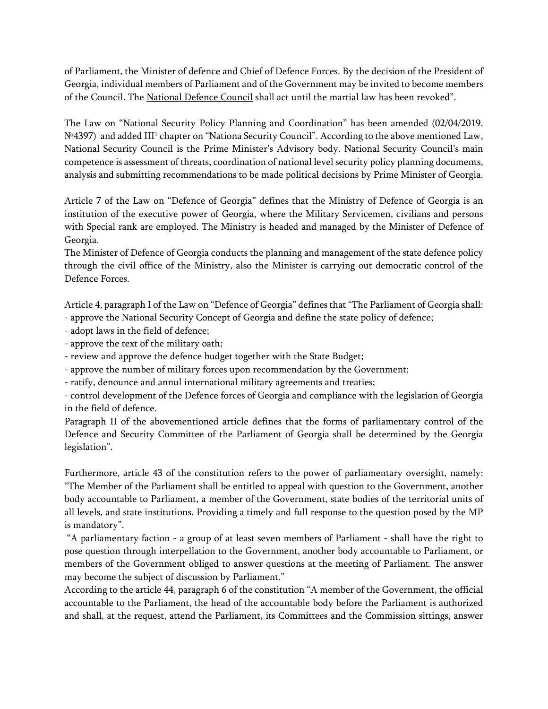of Parliament, the Minister of defence and Chief of Defence Forces. By the decision of the President of Georgia, individual members of Parliament and of the Government may be invited to become members of the Council. The National Defence Council shall act until the martial law has been revoked".

The Law on "National Security Policy Planning and Coordination" has been amended (02/04/2019. Nº4397) and added III<sup>1</sup> chapter on "Nationa Security Council". According to the above mentioned Law, National Security Council is the Prime Minister's Advisory body. National Security Council's main competence is assessment of threats, coordination of national level security policy planning documents, analysis and submitting recommendations to be made political decisions by Prime Minister of Georgia.

Article 7 of the Law on "Defence of Georgia" defines that the Ministry of Defence of Georgia is an institution of the executive power of Georgia, where the Military Servicemen, civilians and persons with Special rank are employed. The Ministry is headed and managed by the Minister of Defence of Georgia.

The Minister of Defence of Georgia conducts the planning and management of the state defence policy through the civil office of the Ministry, also the Minister is carrying out democratic control of the Defence Forces.

Article 4, paragraph I of the Law on "Defence of Georgia" defines that "The Parliament of Georgia shall: - approve the National Security Concept of Georgia and define the state policy of defence;

- adopt laws in the field of defence;
- approve the text of the military oath;
- review and approve the defence budget together with the State Budget;
- approve the number of military forces upon recommendation by the Government;
- ratify, denounce and annul international military agreements and treaties;

- control development of the Defence forces of Georgia and compliance with the legislation of Georgia in the field of defence.

Paragraph II of the abovementioned article defines that the forms of parliamentary control of the Defence and Security Committee of the Parliament of Georgia shall be determined by the Georgia legislation".

Furthermore, article 43 of the constitution refers to the power of parliamentary oversight, namely: "The Member of the Parliament shall be entitled to appeal with question to the Government, another body accountable to Parliament, a member of the Government, state bodies of the territorial units of all levels, and state institutions. Providing a timely and full response to the question posed by the MP is mandatory".

 "A parliamentary faction - a group of at least seven members of Parliament - shall have the right to pose question through interpellation to the Government, another body accountable to Parliament, or members of the Government obliged to answer questions at the meeting of Parliament. The answer may become the subject of discussion by Parliament."

According to the article 44, paragraph 6 of the constitution "A member of the Government, the official accountable to the Parliament, the head of the accountable body before the Parliament is authorized and shall, at the request, attend the Parliament, its Committees and the Commission sittings, answer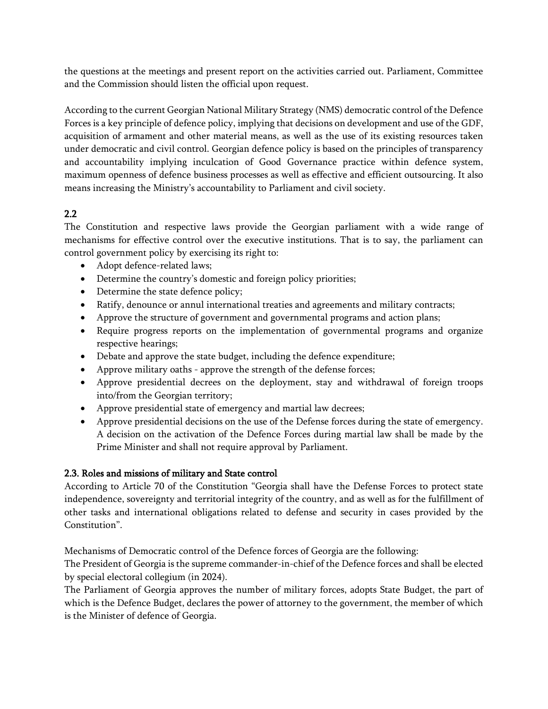the questions at the meetings and present report on the activities carried out. Parliament, Committee and the Commission should listen the official upon request.

According to the current Georgian National Military Strategy (NMS) democratic control of the Defence Forces is a key principle of defence policy, implying that decisions on development and use of the GDF, acquisition of armament and other material means, as well as the use of its existing resources taken under democratic and civil control. Georgian defence policy is based on the principles of transparency and accountability implying inculcation of Good Governance practice within defence system, maximum openness of defence business processes as well as effective and efficient outsourcing. It also means increasing the Ministry's accountability to Parliament and civil society.

## **2.2**

The Constitution and respective laws provide the Georgian parliament with a wide range of mechanisms for effective control over the executive institutions. That is to say, the parliament can control government policy by exercising its right to:

- Adopt defence-related laws;
- Determine the country's domestic and foreign policy priorities;
- Determine the state defence policy;
- Ratify, denounce or annul international treaties and agreements and military contracts;
- Approve the structure of government and governmental programs and action plans;
- Require progress reports on the implementation of governmental programs and organize respective hearings;
- Debate and approve the state budget, including the defence expenditure;
- Approve military oaths approve the strength of the defense forces;
- Approve presidential decrees on the deployment, stay and withdrawal of foreign troops into/from the Georgian territory;
- Approve presidential state of emergency and martial law decrees;
- Approve presidential decisions on the use of the Defense forces during the state of emergency. A decision on the activation of the Defence Forces during martial law shall be made by the Prime Minister and shall not require approval by Parliament.

### **2.3. Roles and missions of military and State control**

According to Article 70 of the Constitution "Georgia shall have the Defense Forces to protect state independence, sovereignty and territorial integrity of the country, and as well as for the fulfillment of other tasks and international obligations related to defense and security in cases provided by the Constitution".

Mechanisms of Democratic control of the Defence forces of Georgia are the following:

The President of Georgia is the supreme commander-in-chief of the Defence forces and shall be elected by special electoral collegium (in 2024).

The Parliament of Georgia approves the number of military forces, adopts State Budget, the part of which is the Defence Budget, declares the power of attorney to the government, the member of which is the Minister of defence of Georgia.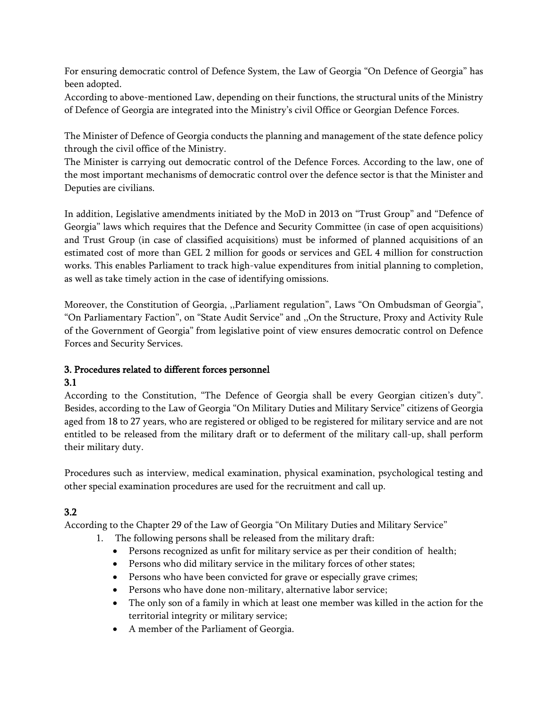For ensuring democratic control of Defence System, the Law of Georgia "On Defence of Georgia" has been adopted.

According to above-mentioned Law, depending on their functions, the structural units of the Ministry of Defence of Georgia are integrated into the Ministry's civil Office or Georgian Defence Forces.

The Minister of Defence of Georgia conducts the planning and management of the state defence policy through the civil office of the Ministry.

The Minister is carrying out democratic control of the Defence Forces. According to the law, one of the most important mechanisms of democratic control over the defence sector is that the Minister and Deputies are civilians.

In addition, Legislative amendments initiated by the MoD in 2013 on "Trust Group" and "Defence of Georgia" laws which requires that the Defence and Security Committee (in case of open acquisitions) and Trust Group (in case of classified acquisitions) must be informed of planned acquisitions of an estimated cost of more than GEL 2 million for goods or services and GEL 4 million for construction works. This enables Parliament to track high-value expenditures from initial planning to completion, as well as take timely action in the case of identifying omissions.

Moreover, the Constitution of Georgia, ,,Parliament regulation", Laws "On Ombudsman of Georgia", "On Parliamentary Faction", on "State Audit Service" and ,,On the Structure, Proxy and Activity Rule of the Government of Georgia" from legislative point of view ensures democratic control on Defence Forces and Security Services.

## **3. Procedures related to different forces personnel**

### **3.1**

According to the Constitution, "The Defence of Georgia shall be every Georgian citizen's duty". Besides, according to the Law of Georgia "On Military Duties and Military Service" citizens of Georgia aged from 18 to 27 years, who are registered or obliged to be registered for military service and are not entitled to be released from the military draft or to deferment of the military call-up, shall perform their military duty.

Procedures such as interview, medical examination, physical examination, psychological testing and other special examination procedures are used for the recruitment and call up.

## **3.2**

According to the Chapter 29 of the Law of Georgia "On Military Duties and Military Service"

- 1. The following persons shall be released from the military draft:
	- Persons recognized as unfit for military service as per their condition of health;
	- Persons who did military service in the military forces of other states;
	- Persons who have been convicted for grave or especially grave crimes;
	- Persons who have done non-military, alternative labor service;
	- The only son of a family in which at least one member was killed in the action for the territorial integrity or military service;
	- A member of the Parliament of Georgia.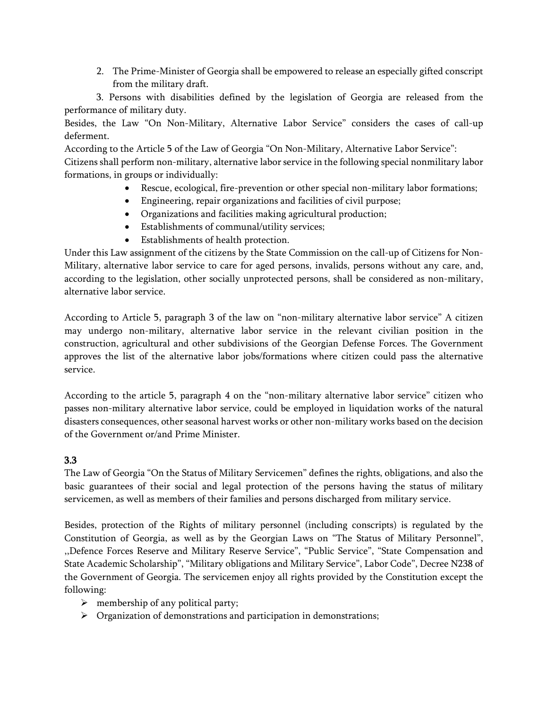2. The Prime-Minister of Georgia shall be empowered to release an especially gifted conscript from the military draft.

 3. Persons with disabilities defined by the legislation of Georgia are released from the performance of military duty.

Besides, the Law "On Non-Military, Alternative Labor Service" considers the cases of call-up deferment.

According to the Article 5 of the Law of Georgia "On Non-Military, Alternative Labor Service":

Citizens shall perform non-military, alternative labor service in the following special nonmilitary labor formations, in groups or individually:

- Rescue, ecological, fire-prevention or other special non-military labor formations;
- Engineering, repair organizations and facilities of civil purpose;
- Organizations and facilities making agricultural production;
- Establishments of communal/utility services;
- Establishments of health protection.

Under this Law assignment of the citizens by the State Commission on the call-up of Citizens for Non-Military, alternative labor service to care for aged persons, invalids, persons without any care, and, according to the legislation, other socially unprotected persons, shall be considered as non-military, alternative labor service.

According to Article 5, paragraph 3 of the law on "non-military alternative labor service" A citizen may undergo non-military, alternative labor service in the relevant civilian position in the construction, agricultural and other subdivisions of the Georgian Defense Forces. The Government approves the list of the alternative labor jobs/formations where citizen could pass the alternative service.

According to the article 5, paragraph 4 on the "non-military alternative labor service" citizen who passes non-military alternative labor service, could be employed in liquidation works of the natural disasters consequences, other seasonal harvest works or other non-military works based on the decision of the Government or/and Prime Minister.

## **3.3**

The Law of Georgia "On the Status of Military Servicemen" defines the rights, obligations, and also the basic guarantees of their social and legal protection of the persons having the status of military servicemen, as well as members of their families and persons discharged from military service.

Besides, protection of the Rights of military personnel (including conscripts) is regulated by the Constitution of Georgia, as well as by the Georgian Laws on "The Status of Military Personnel", ,,Defence Forces Reserve and Military Reserve Service", "Public Service", "State Compensation and State Academic Scholarship", "Military obligations and Military Service", Labor Code", Decree N238 of the Government of Georgia. The servicemen enjoy all rights provided by the Constitution except the following:

- $\triangleright$  membership of any political party;
- $\triangleright$  Organization of demonstrations and participation in demonstrations;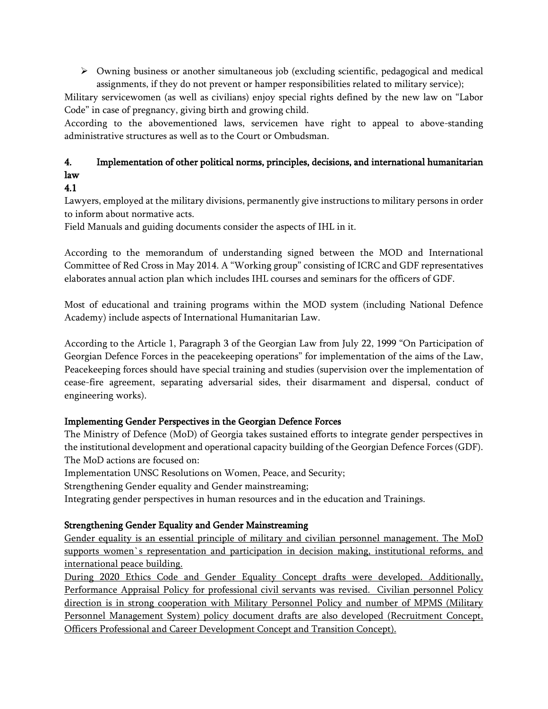$\triangleright$  Owning business or another simultaneous job (excluding scientific, pedagogical and medical assignments, if they do not prevent or hamper responsibilities related to military service);

Military servicewomen (as well as civilians) enjoy special rights defined by the new law on "Labor Code" in case of pregnancy, giving birth and growing child.

According to the abovementioned laws, servicemen have right to appeal to above-standing administrative structures as well as to the Court or Ombudsman.

# **4. Implementation of other political norms, principles, decisions, and international humanitarian law**

## **4.1**

Lawyers, employed at the military divisions, permanently give instructions to military persons in order to inform about normative acts.

Field Manuals and guiding documents consider the aspects of IHL in it.

According to the memorandum of understanding signed between the MOD and International Committee of Red Cross in May 2014. A "Working group" consisting of ICRC and GDF representatives elaborates annual action plan which includes IHL courses and seminars for the officers of GDF.

Most of educational and training programs within the MOD system (including National Defence Academy) include aspects of International Humanitarian Law.

According to the Article 1, Paragraph 3 of the Georgian Law from July 22, 1999 "On Participation of Georgian Defence Forces in the peacekeeping operations" for implementation of the aims of the Law, Peacekeeping forces should have special training and studies (supervision over the implementation of cease-fire agreement, separating adversarial sides, their disarmament and dispersal, conduct of engineering works).

## **Implementing Gender Perspectives in the Georgian Defence Forces**

The Ministry of Defence (MoD) of Georgia takes sustained efforts to integrate gender perspectives in the institutional development and operational capacity building of the Georgian Defence Forces (GDF). The MoD actions are focused on:

Implementation UNSC Resolutions on Women, Peace, and Security;

Strengthening Gender equality and Gender mainstreaming;

Integrating gender perspectives in human resources and in the education and Trainings.

## **Strengthening Gender Equality and Gender Mainstreaming**

Gender equality is an essential principle of military and civilian personnel management. The MoD supports women's representation and participation in decision making, institutional reforms, and international peace building.

During 2020 Ethics Code and Gender Equality Concept drafts were developed. Additionally, Performance Appraisal Policy for professional civil servants was revised. Civilian personnel Policy direction is in strong cooperation with Military Personnel Policy and number of MPMS (Military Personnel Management System) policy document drafts are also developed (Recruitment Concept, Officers Professional and Career Development Concept and Transition Concept).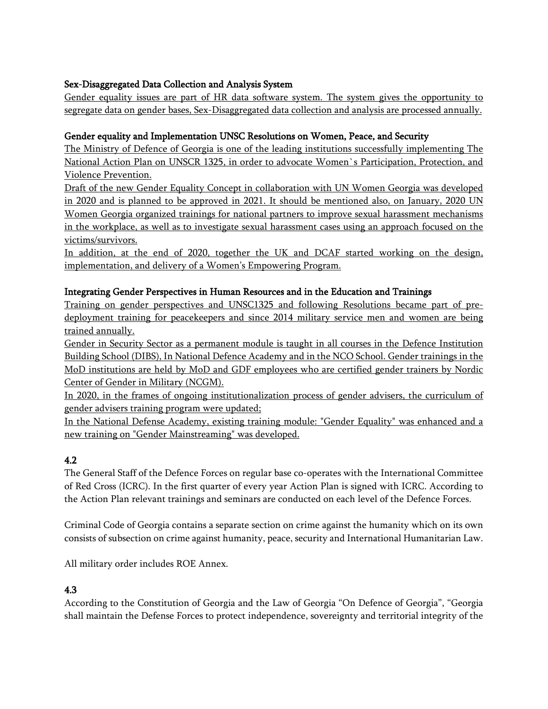### **Sex-Disaggregated Data Collection and Analysis System**

Gender equality issues are part of HR data software system. The system gives the opportunity to segregate data on gender bases,Sex-Disaggregated data collection and analysis are processed annually.

### **Gender equality and Implementation UNSC Resolutions on Women, Peace, and Security**

The Ministry of Defence of Georgia is one of the leading institutions successfully implementing The National Action Plan on UNSCR 1325, in order to advocate Women`s Participation, Protection, and Violence Prevention.

Draft of the new Gender Equality Concept in collaboration with UN Women Georgia was developed in 2020 and is planned to be approved in 2021. It should be mentioned also, on January, 2020 UN Women Georgia organized trainings for national partners to improve sexual harassment mechanisms in the workplace, as well as to investigate sexual harassment cases using an approach focused on the victims/survivors.

In addition, at the end of 2020, together the UK and DCAF started working on the design, implementation, and delivery of a Women's Empowering Program.

### **Integrating Gender Perspectives in Human Resources and in the Education and Trainings**

Training on gender perspectives and UNSC1325 and following Resolutions became part of predeployment training for peacekeepers and since 2014 military service men and women are being trained annually.

Gender in Security Sector as a permanent module is taught in all courses in the Defence Institution Building School (DIBS), In National Defence Academy and in the NCO School. Gender trainings in the MoD institutions are held by MoD and GDF employees who are certified gender trainers by Nordic Center of Gender in Military (NCGM).

In 2020, in the frames of ongoing institutionalization process of gender advisers, the curriculum of gender advisers training program were updated;

In the National Defense Academy, existing training module: "Gender Equality" was enhanced and a new training on "Gender Mainstreaming" was developed.

### **4.2**

The General Staff of the Defence Forces on regular base co-operates with the International Committee of Red Cross (ICRC). In the first quarter of every year Action Plan is signed with ICRC. According to the Action Plan relevant trainings and seminars are conducted on each level of the Defence Forces.

Criminal Code of Georgia contains a separate section on crime against the humanity which on its own consists of subsection on crime against humanity, peace, security and International Humanitarian Law.

All military order includes ROE Annex.

## **4.3**

According to the Constitution of Georgia and the Law of Georgia "On Defence of Georgia", "Georgia shall maintain the Defense Forces to protect independence, sovereignty and territorial integrity of the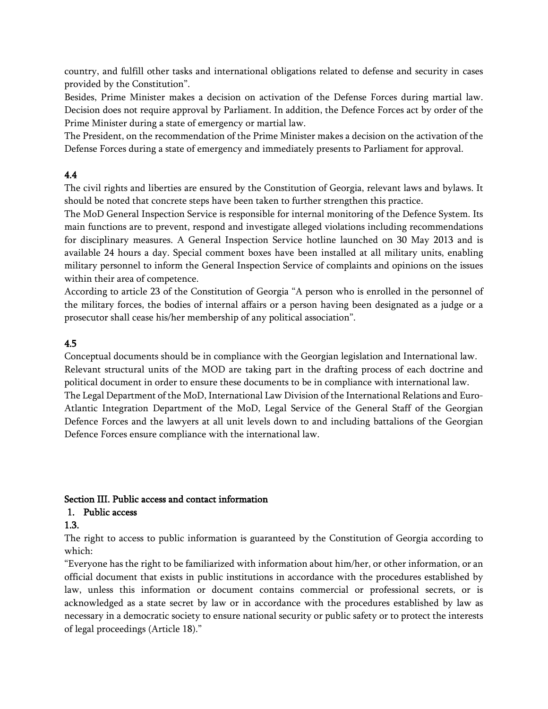country, and fulfill other tasks and international obligations related to defense and security in cases provided by the Constitution".

Besides, Prime Minister makes a decision on activation of the Defense Forces during martial law. Decision does not require approval by Parliament. In addition, the Defence Forces act by order of the Prime Minister during a state of emergency or martial law.

The President, on the recommendation of the Prime Minister makes a decision on the activation of the Defense Forces during a state of emergency and immediately presents to Parliament for approval.

### **4.4**

The civil rights and liberties are ensured by the Constitution of Georgia, relevant laws and bylaws. It should be noted that concrete steps have been taken to further strengthen this practice.

The MoD General Inspection Service is responsible for internal monitoring of the Defence System. Its main functions are to prevent, respond and investigate alleged violations including recommendations for disciplinary measures. A General Inspection Service hotline launched on 30 May 2013 and is available 24 hours a day. Special comment boxes have been installed at all military units, enabling military personnel to inform the General Inspection Service of complaints and opinions on the issues within their area of competence.

According to article 23 of the Constitution of Georgia "A person who is enrolled in the personnel of the military forces, the bodies of internal affairs or a person having been designated as a judge or a prosecutor shall cease his/her membership of any political association".

### **4.5**

Conceptual documents should be in compliance with the Georgian legislation and International law. Relevant structural units of the MOD are taking part in the drafting process of each doctrine and political document in order to ensure these documents to be in compliance with international law. The Legal Department of the MoD, International Law Division of the International Relations and Euro-Atlantic Integration Department of the MoD, Legal Service of the General Staff of the Georgian Defence Forces and the lawyers at all unit levels down to and including battalions of the Georgian Defence Forces ensure compliance with the international law.

#### **Section III. Public access and contact information**

### **1. Public access**

### **1.3.**

The right to access to public information is guaranteed by the Constitution of Georgia according to which:

"Everyone has the right to be familiarized with information about him/her, or other information, or an official document that exists in public institutions in accordance with the procedures established by law, unless this information or document contains commercial or professional secrets, or is acknowledged as a state secret by law or in accordance with the procedures established by law as necessary in a democratic society to ensure national security or public safety or to protect the interests of legal proceedings (Article 18)."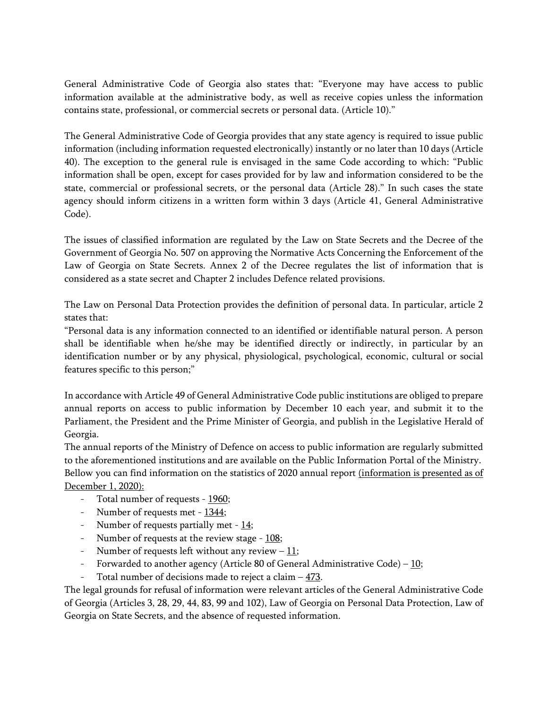General Administrative Code of Georgia also states that: "Everyone may have access to public information available at the administrative body, as well as receive copies unless the information contains state, professional, or commercial secrets or personal data. (Article 10)."

The General Administrative Code of Georgia provides that any state agency is required to issue public information (including information requested electronically) instantly or no later than 10 days (Article 40). The exception to the general rule is envisaged in the same Code according to which: "Public information shall be open, except for cases provided for by law and information considered to be the state, commercial or professional secrets, or the personal data (Article 28)." In such cases the state agency should inform citizens in a written form within 3 days (Article 41, General Administrative Code).

The issues of classified information are regulated by the Law on State Secrets and the Decree of the Government of Georgia No. 507 on approving the Normative Acts Concerning the Enforcement of the Law of Georgia on State Secrets. Annex 2 of the Decree regulates the list of information that is considered as a state secret and Chapter 2 includes Defence related provisions.

The Law on Personal Data Protection provides the definition of personal data. In particular, article 2 states that:

"Personal data is any information connected to an identified or identifiable natural person. A person shall be identifiable when he/she may be identified directly or indirectly, in particular by an identification number or by any physical, physiological, psychological, economic, cultural or social features specific to this person;"

In accordance with Article 49 of General Administrative Code public institutions are obliged to prepare annual reports on access to public information by December 10 each year, and submit it to the Parliament, the President and the Prime Minister of Georgia, and publish in the Legislative Herald of Georgia.

The annual reports of the Ministry of Defence on access to public information are regularly submitted to the aforementioned institutions and are available on the Public Information Portal of the Ministry. Bellow you can find information on the statistics of 2020 annual report (information is presented as of December 1, 2020):

- Total number of requests 1960;
- Number of requests met 1344;
- Number of requests partially met  $14$ ;
- Number of requests at the review stage  $108$ ;
- Number of requests left without any review  $-11$ ;
- Forwarded to another agency (Article 80 of General Administrative Code)  $10$ ;
- Total number of decisions made to reject a claim  $-473$ .

The legal grounds for refusal of information were relevant articles of the General Administrative Code of Georgia (Articles 3, 28, 29, 44, 83, 99 and 102), Law of Georgia on Personal Data Protection, Law of Georgia on State Secrets, and the absence of requested information.